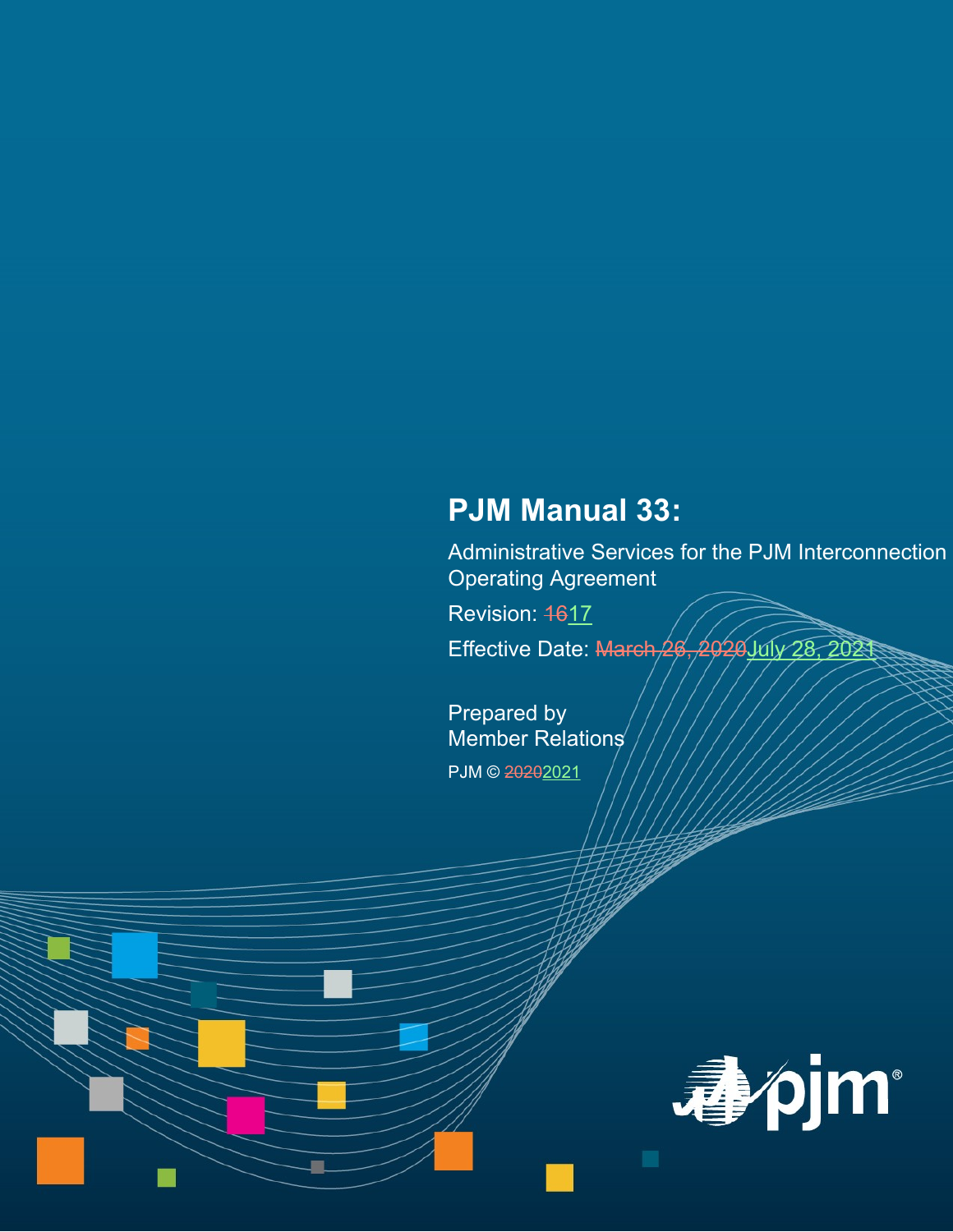# **PJM Manual 33:**

Administrative Services for the PJM Interconnection Operating Agreement

Revision: 4617

Effective Date: March 26, 2020 July 28, 2021

Prepared by Member Relations PJM © 20202021

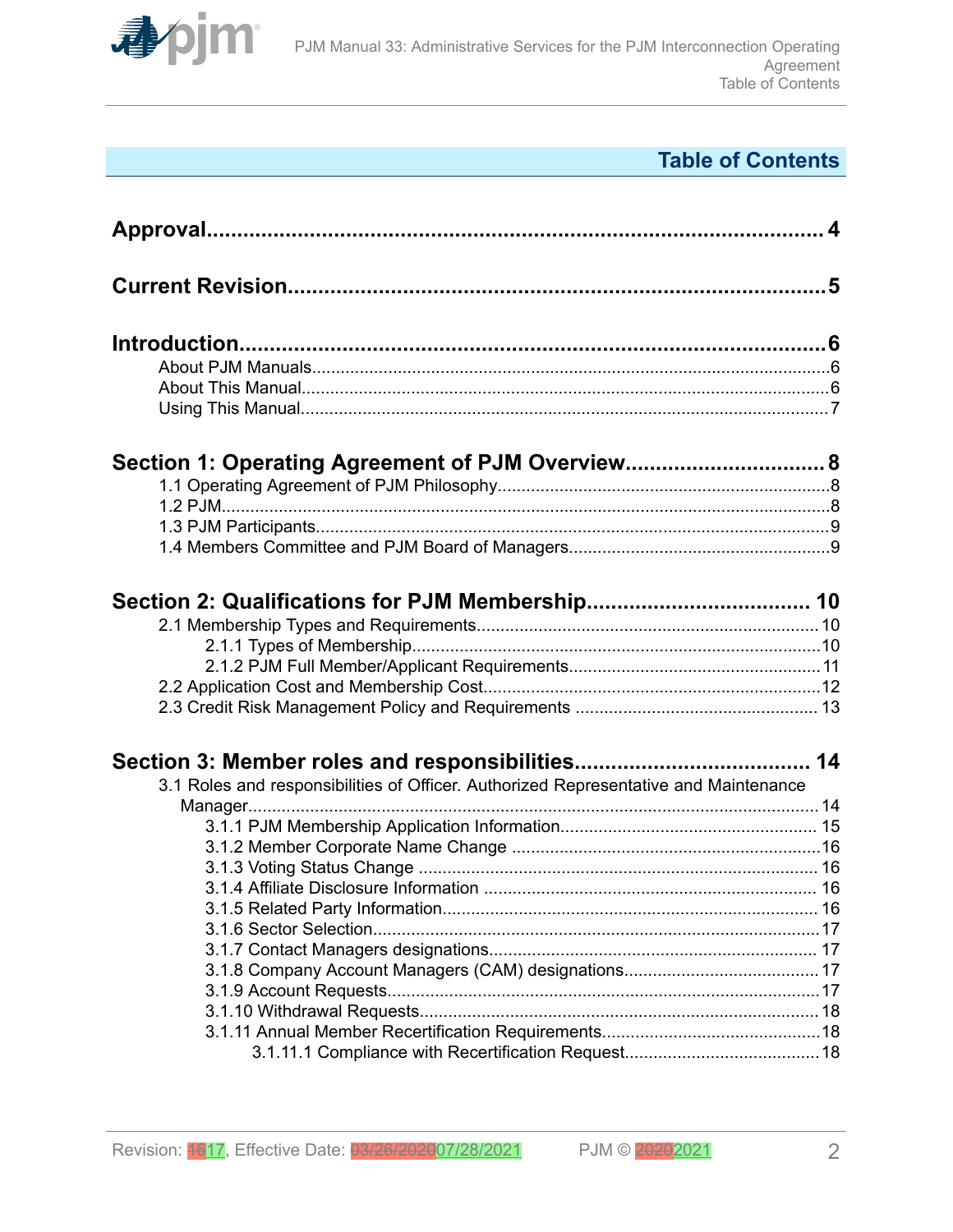

# **Table of Contents**

| Section 1: Operating Agreement of PJM Overview 8                                     |  |
|--------------------------------------------------------------------------------------|--|
|                                                                                      |  |
|                                                                                      |  |
|                                                                                      |  |
|                                                                                      |  |
|                                                                                      |  |
|                                                                                      |  |
|                                                                                      |  |
|                                                                                      |  |
|                                                                                      |  |
|                                                                                      |  |
| 3.1 Roles and responsibilities of Officer. Authorized Representative and Maintenance |  |
|                                                                                      |  |
|                                                                                      |  |
|                                                                                      |  |
|                                                                                      |  |
|                                                                                      |  |
|                                                                                      |  |
|                                                                                      |  |
|                                                                                      |  |
|                                                                                      |  |
|                                                                                      |  |
|                                                                                      |  |
|                                                                                      |  |
|                                                                                      |  |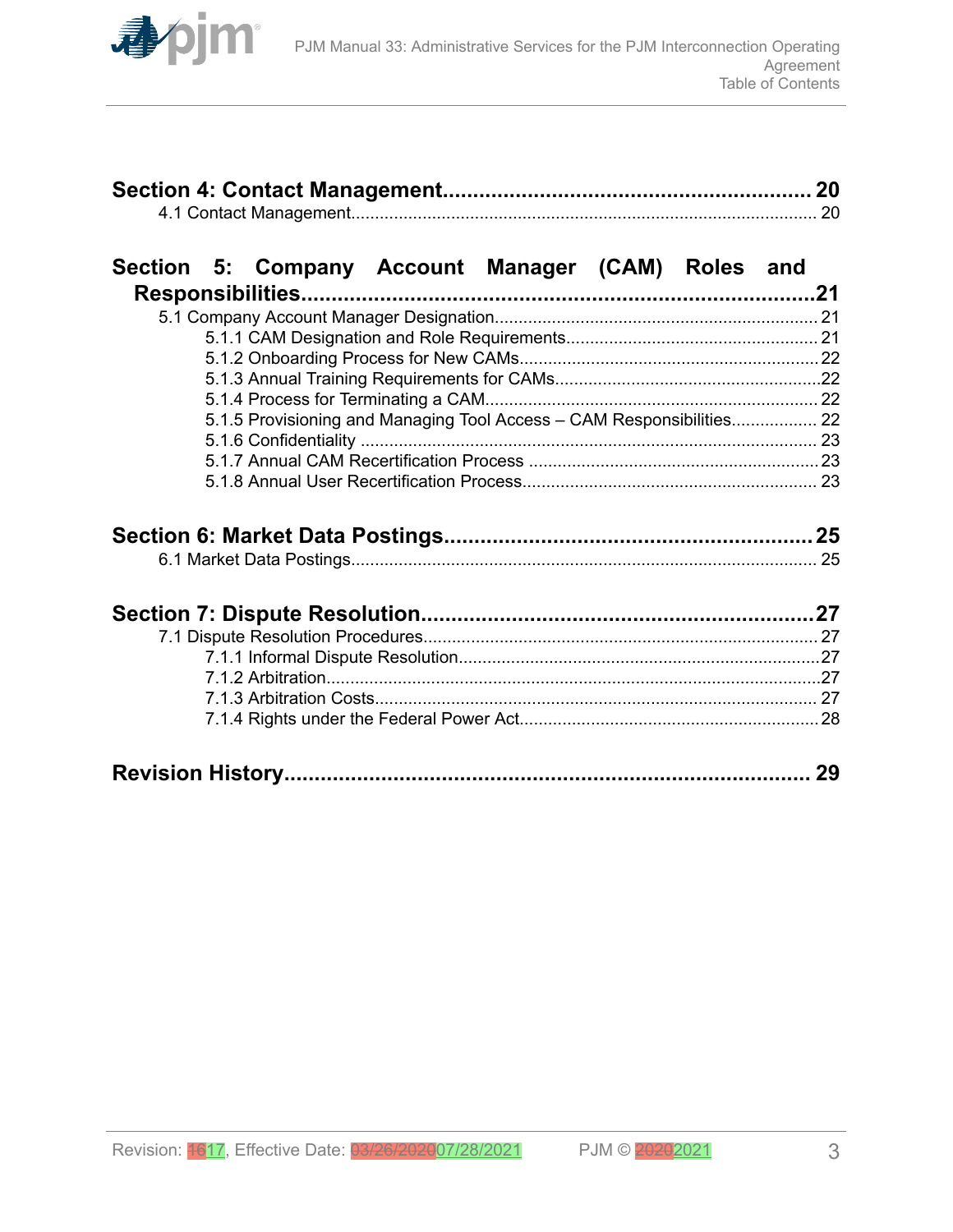

# **[Section 5: Company Account Manager \(CAM\) Roles and](#page-20-0)**

| 5.1.5 Provisioning and Managing Tool Access – CAM Responsibilities 22 |  |
|-----------------------------------------------------------------------|--|
|                                                                       |  |
|                                                                       |  |
|                                                                       |  |

|--|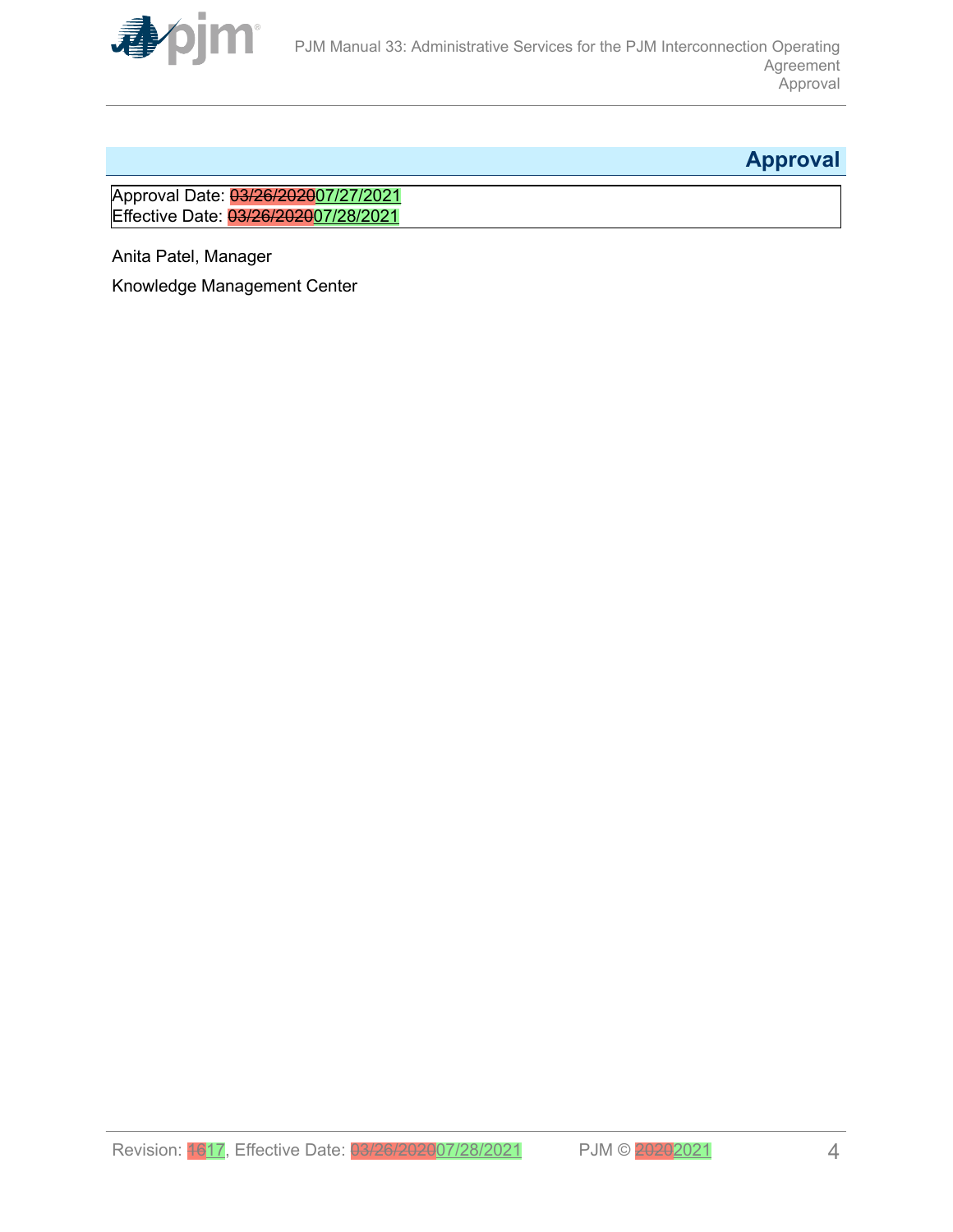<span id="page-3-0"></span>

# **Approval**

Approval Date: 03/26/202007/27/2021 Effective Date: 03/26/202007/28/2021

Anita Patel, Manager

Knowledge Management Center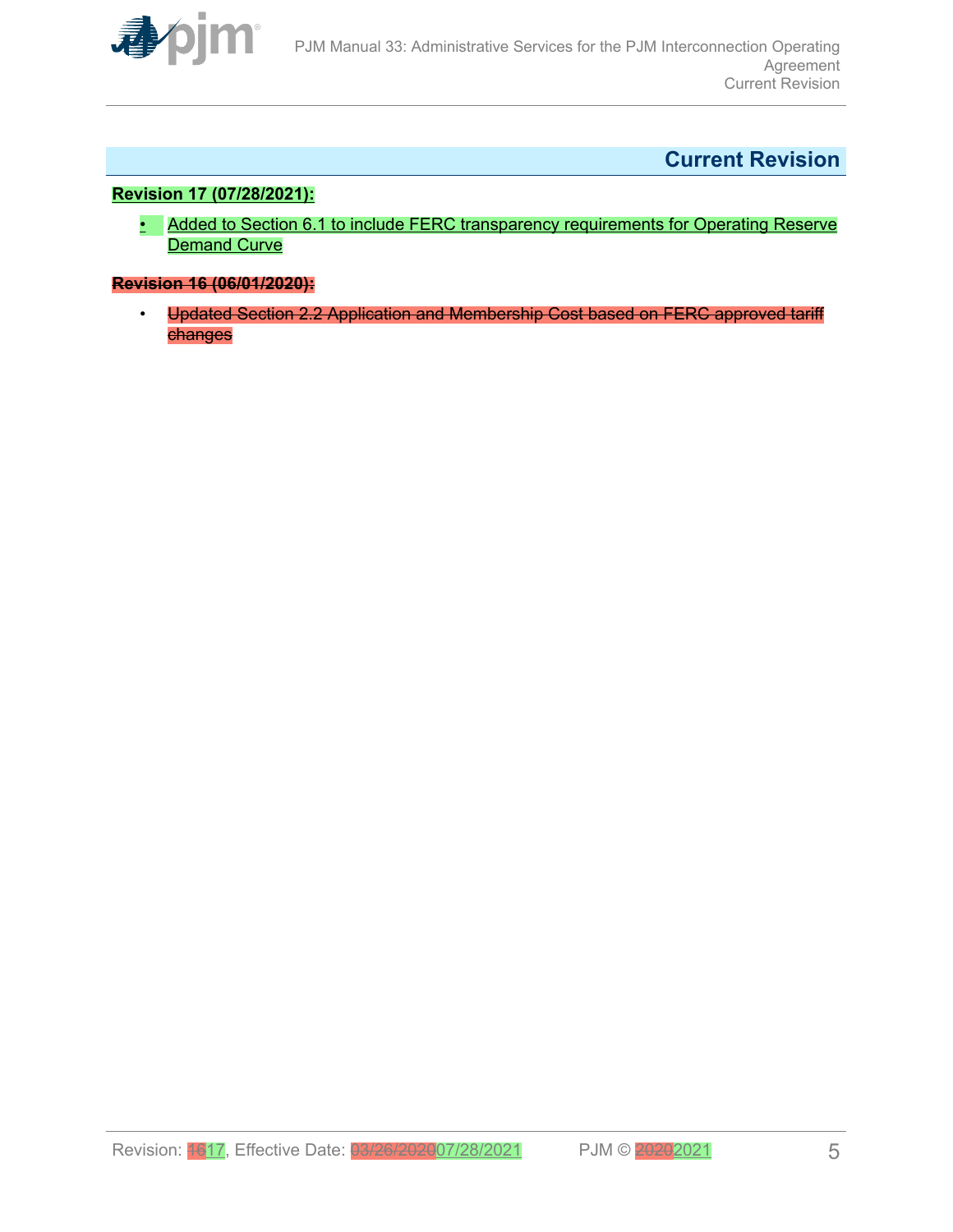<span id="page-4-0"></span>

# **Current Revision**

### **Revision 17 (07/28/2021):**

• Added to Section 6.1 to include FERC transparency requirements for Operating Reserve Demand Curve

### **Revision 16 (06/01/2020):**

• Updated Section 2.2 Application and Membership Cost based on FERC approved tariff changes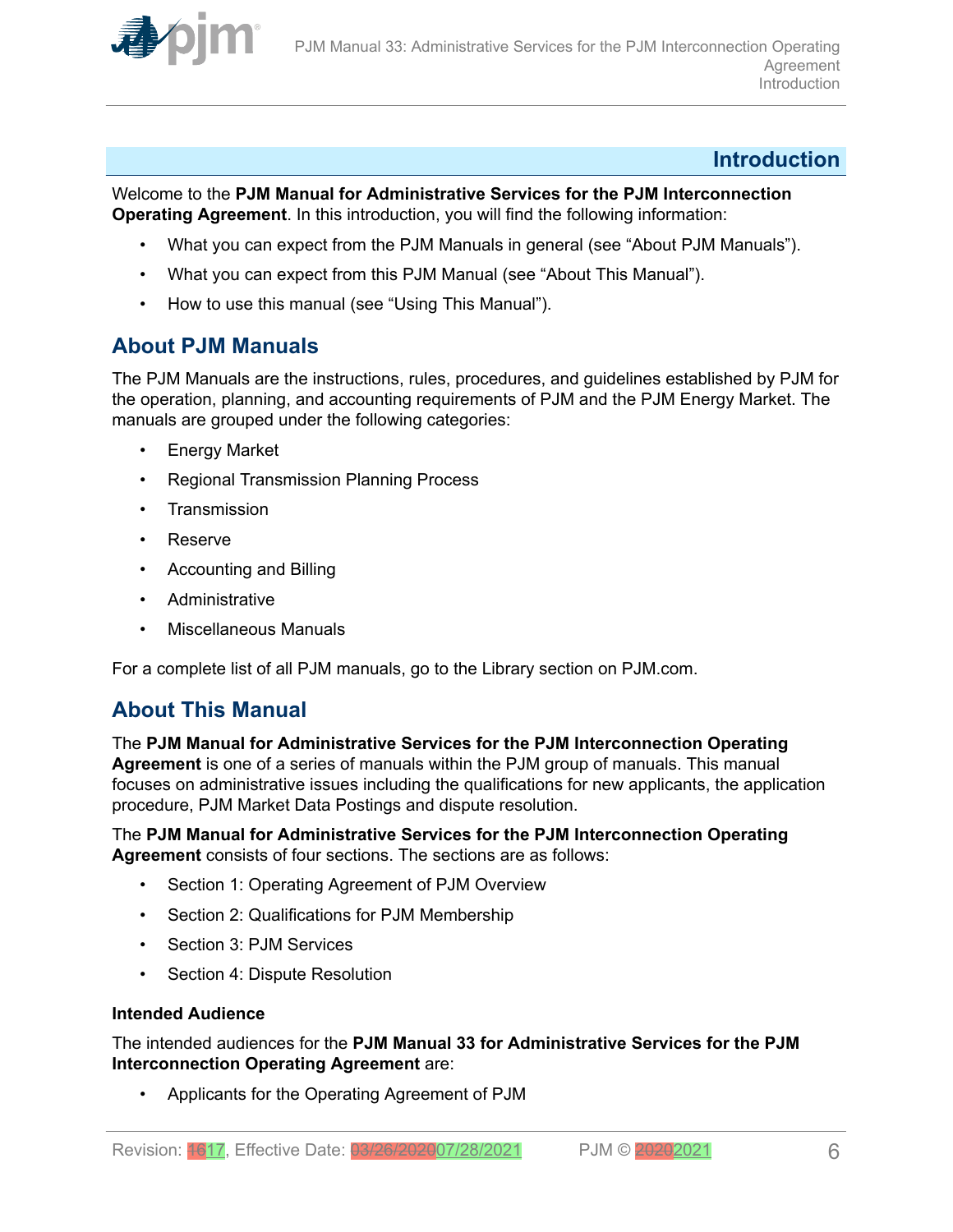<span id="page-5-0"></span>

### **Introduction**

Welcome to the **PJM Manual for Administrative Services for the PJM Interconnection Operating Agreement**. In this introduction, you will find the following information:

- What you can expect from the PJM Manuals in general (see "About PJM Manuals").
- What you can expect from this PJM Manual (see "About This Manual").
- How to use this manual (see "Using This Manual").

### **About PJM Manuals**

The PJM Manuals are the instructions, rules, procedures, and guidelines established by PJM for the operation, planning, and accounting requirements of PJM and the PJM Energy Market. The manuals are grouped under the following categories:

- **Energy Market**
- Regional Transmission Planning Process
- Transmission
- Reserve
- Accounting and Billing
- Administrative
- Miscellaneous Manuals

For a complete list of all PJM manuals, go to the Library section on PJM.com.

### **About This Manual**

The **PJM Manual for Administrative Services for the PJM Interconnection Operating Agreement** is one of a series of manuals within the PJM group of manuals. This manual focuses on administrative issues including the qualifications for new applicants, the application procedure, PJM Market Data Postings and dispute resolution.

### The **PJM Manual for Administrative Services for the PJM Interconnection Operating Agreement** consists of four sections. The sections are as follows:

- Section 1: Operating Agreement of PJM Overview
- Section 2: Qualifications for PJM Membership
- Section 3: PJM Services
- Section 4: Dispute Resolution

### **Intended Audience**

The intended audiences for the **PJM Manual 33 for Administrative Services for the PJM Interconnection Operating Agreement** are:

• Applicants for the Operating Agreement of PJM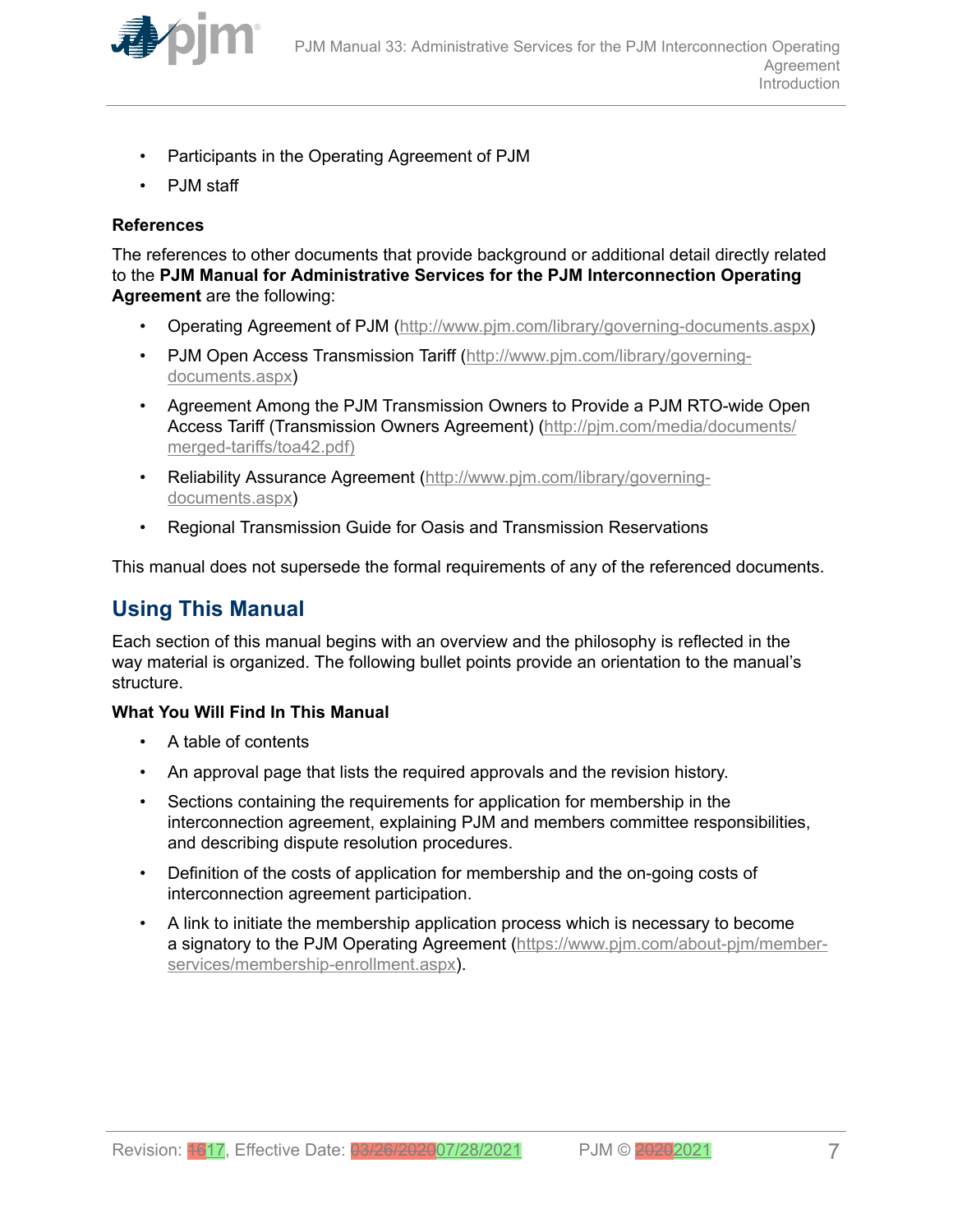<span id="page-6-0"></span>

- Participants in the Operating Agreement of PJM
- PJM staff

### **References**

The references to other documents that provide background or additional detail directly related to the **PJM Manual for Administrative Services for the PJM Interconnection Operating Agreement** are the following:

- Operating Agreement of PJM (<http://www.pjm.com/library/governing-documents.aspx>)
- PJM Open Access Transmission Tariff ([http://www.pjm.com/library/governing](http://www.pjm.com/library/governing-documents.aspx)[documents.aspx\)](http://www.pjm.com/library/governing-documents.aspx)
- Agreement Among the PJM Transmission Owners to Provide a PJM RTO-wide Open Access Tariff (Transmission Owners Agreement) ([http://pjm.com/media/documents/](http://www.pjm.com/library/governing-documents.aspx) [merged-tariffs/toa42.pdf\)](http://www.pjm.com/library/governing-documents.aspx)
- Reliability Assurance Agreement [\(http://www.pjm.com/library/governing](http://www.pjm.com/library/governing-documents.aspx)[documents.aspx\)](http://www.pjm.com/library/governing-documents.aspx)
- Regional Transmission Guide for Oasis and Transmission Reservations

This manual does not supersede the formal requirements of any of the referenced documents.

# **Using This Manual**

Each section of this manual begins with an overview and the philosophy is reflected in the way material is organized. The following bullet points provide an orientation to the manual's structure.

### **What You Will Find In This Manual**

- A table of contents
- An approval page that lists the required approvals and the revision history.
- Sections containing the requirements for application for membership in the interconnection agreement, explaining PJM and members committee responsibilities, and describing dispute resolution procedures.
- Definition of the costs of application for membership and the on-going costs of interconnection agreement participation.
- A link to initiate the membership application process which is necessary to become a signatory to the PJM Operating Agreement [\(https://www.pjm.com/about-pjm/member](https://www.pjm.com/about-pjm/member-services/membership-enrollment.aspx)[services/membership-enrollment.aspx\)](https://www.pjm.com/about-pjm/member-services/membership-enrollment.aspx).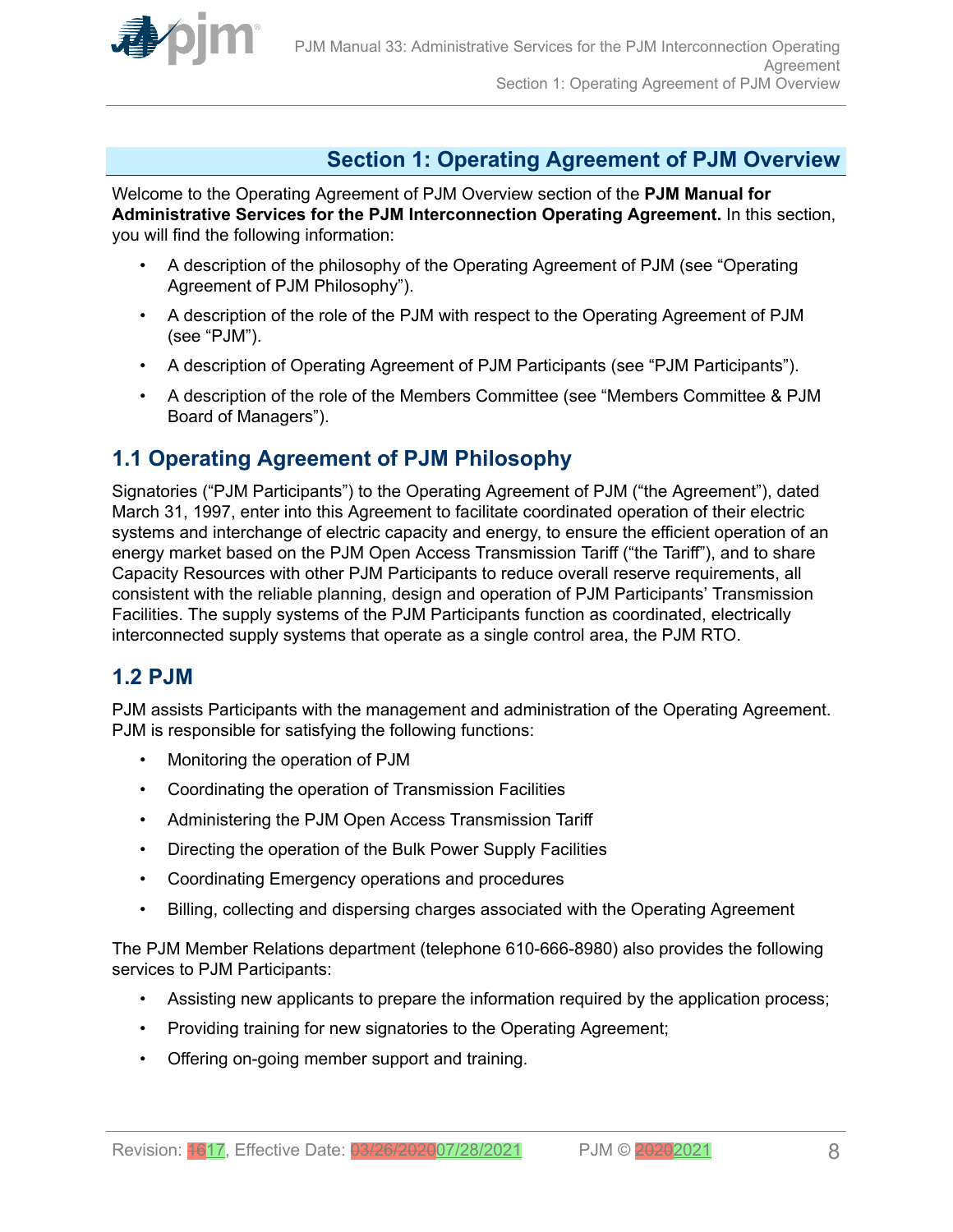<span id="page-7-0"></span>

# **Section 1: Operating Agreement of PJM Overview**

Welcome to the Operating Agreement of PJM Overview section of the **PJM Manual for Administrative Services for the PJM Interconnection Operating Agreement.** In this section, you will find the following information:

- A description of the philosophy of the Operating Agreement of PJM (see "Operating Agreement of PJM Philosophy").
- A description of the role of the PJM with respect to the Operating Agreement of PJM (see "PJM").
- A description of Operating Agreement of PJM Participants (see "PJM Participants").
- A description of the role of the Members Committee (see "Members Committee & PJM Board of Managers").

# **1.1 Operating Agreement of PJM Philosophy**

Signatories ("PJM Participants") to the Operating Agreement of PJM ("the Agreement"), dated March 31, 1997, enter into this Agreement to facilitate coordinated operation of their electric systems and interchange of electric capacity and energy, to ensure the efficient operation of an energy market based on the PJM Open Access Transmission Tariff ("the Tariff"), and to share Capacity Resources with other PJM Participants to reduce overall reserve requirements, all consistent with the reliable planning, design and operation of PJM Participants' Transmission Facilities. The supply systems of the PJM Participants function as coordinated, electrically interconnected supply systems that operate as a single control area, the PJM RTO.

### **1.2 PJM**

PJM assists Participants with the management and administration of the Operating Agreement. PJM is responsible for satisfying the following functions:

- Monitoring the operation of PJM
- Coordinating the operation of Transmission Facilities
- Administering the PJM Open Access Transmission Tariff
- Directing the operation of the Bulk Power Supply Facilities
- Coordinating Emergency operations and procedures
- Billing, collecting and dispersing charges associated with the Operating Agreement

The PJM Member Relations department (telephone 610-666-8980) also provides the following services to PJM Participants:

- Assisting new applicants to prepare the information required by the application process;
- Providing training for new signatories to the Operating Agreement;
- Offering on-going member support and training.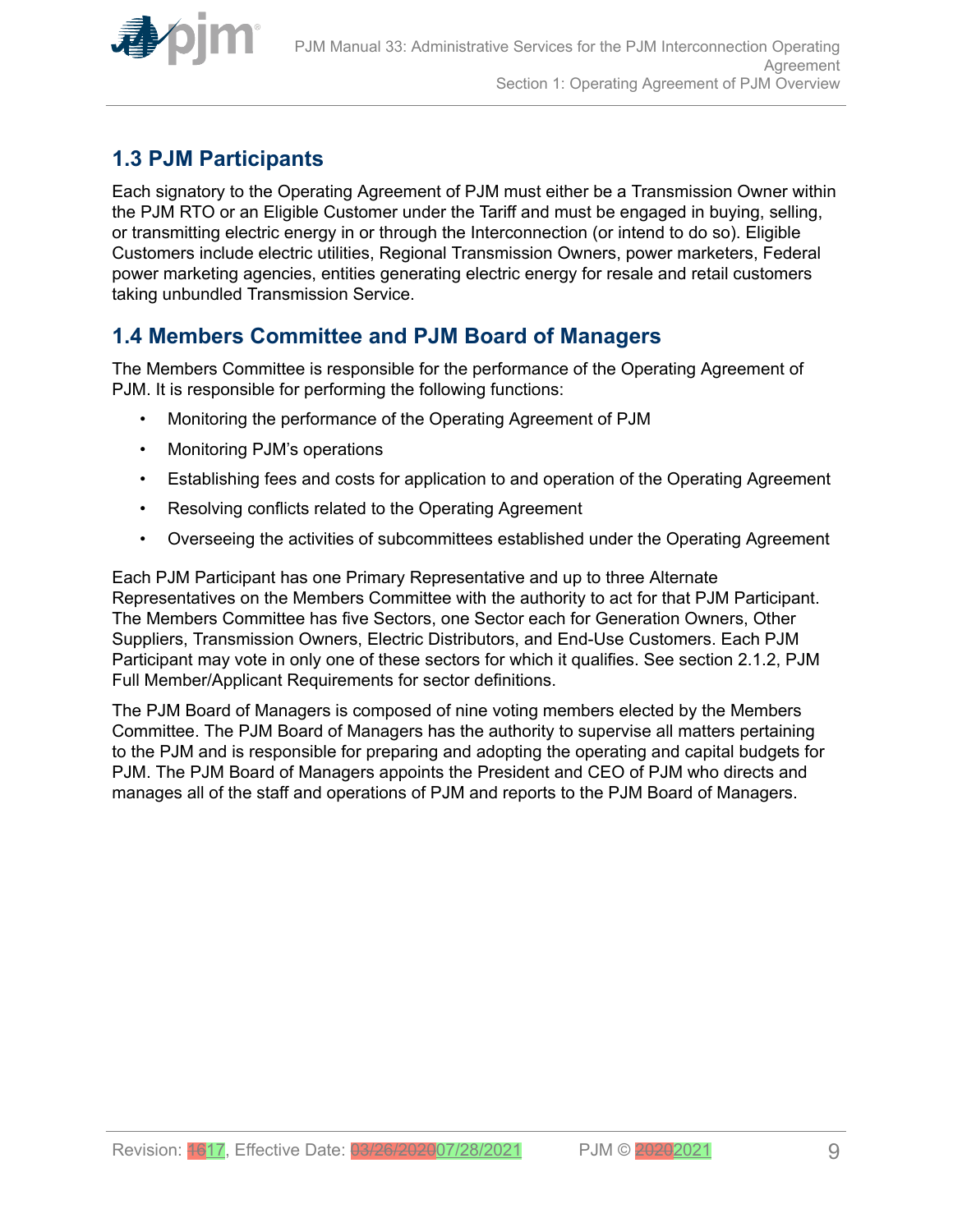<span id="page-8-0"></span>

# **1.3 PJM Participants**

Each signatory to the Operating Agreement of PJM must either be a Transmission Owner within the PJM RTO or an Eligible Customer under the Tariff and must be engaged in buying, selling, or transmitting electric energy in or through the Interconnection (or intend to do so). Eligible Customers include electric utilities, Regional Transmission Owners, power marketers, Federal power marketing agencies, entities generating electric energy for resale and retail customers taking unbundled Transmission Service.

# **1.4 Members Committee and PJM Board of Managers**

The Members Committee is responsible for the performance of the Operating Agreement of PJM. It is responsible for performing the following functions:

- Monitoring the performance of the Operating Agreement of PJM
- Monitoring PJM's operations
- Establishing fees and costs for application to and operation of the Operating Agreement
- Resolving conflicts related to the Operating Agreement
- Overseeing the activities of subcommittees established under the Operating Agreement

Each PJM Participant has one Primary Representative and up to three Alternate Representatives on the Members Committee with the authority to act for that PJM Participant. The Members Committee has five Sectors, one Sector each for Generation Owners, Other Suppliers, Transmission Owners, Electric Distributors, and End-Use Customers. Each PJM Participant may vote in only one of these sectors for which it qualifies. See section 2.1.2, PJM Full Member/Applicant Requirements for sector definitions.

The PJM Board of Managers is composed of nine voting members elected by the Members Committee. The PJM Board of Managers has the authority to supervise all matters pertaining to the PJM and is responsible for preparing and adopting the operating and capital budgets for PJM. The PJM Board of Managers appoints the President and CEO of PJM who directs and manages all of the staff and operations of PJM and reports to the PJM Board of Managers.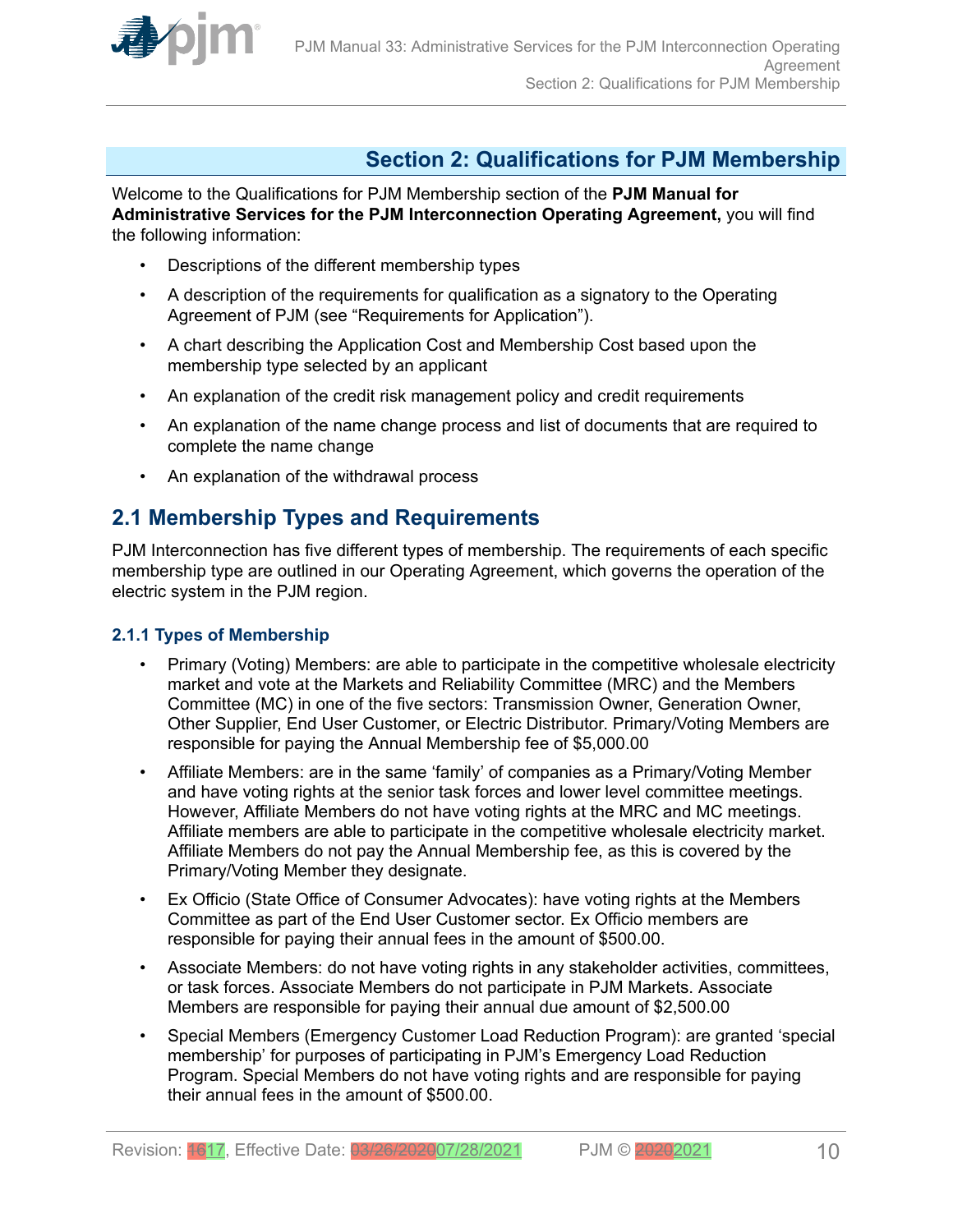<span id="page-9-0"></span>

# **Section 2: Qualifications for PJM Membership**

Welcome to the Qualifications for PJM Membership section of the **PJM Manual for Administrative Services for the PJM Interconnection Operating Agreement,** you will find the following information:

- Descriptions of the different membership types
- A description of the requirements for qualification as a signatory to the Operating Agreement of PJM (see "Requirements for Application").
- A chart describing the Application Cost and Membership Cost based upon the membership type selected by an applicant
- An explanation of the credit risk management policy and credit requirements
- An explanation of the name change process and list of documents that are required to complete the name change
- An explanation of the withdrawal process

# **2.1 Membership Types and Requirements**

PJM Interconnection has five different types of membership. The requirements of each specific membership type are outlined in our Operating Agreement, which governs the operation of the electric system in the PJM region.

### **2.1.1 Types of Membership**

- Primary (Voting) Members: are able to participate in the competitive wholesale electricity market and vote at the Markets and Reliability Committee (MRC) and the Members Committee (MC) in one of the five sectors: Transmission Owner, Generation Owner, Other Supplier, End User Customer, or Electric Distributor. Primary/Voting Members are responsible for paying the Annual Membership fee of \$5,000.00
- Affiliate Members: are in the same 'family' of companies as a Primary/Voting Member and have voting rights at the senior task forces and lower level committee meetings. However, Affiliate Members do not have voting rights at the MRC and MC meetings. Affiliate members are able to participate in the competitive wholesale electricity market. Affiliate Members do not pay the Annual Membership fee, as this is covered by the Primary/Voting Member they designate.
- Ex Officio (State Office of Consumer Advocates): have voting rights at the Members Committee as part of the End User Customer sector. Ex Officio members are responsible for paying their annual fees in the amount of \$500.00.
- Associate Members: do not have voting rights in any stakeholder activities, committees, or task forces. Associate Members do not participate in PJM Markets. Associate Members are responsible for paying their annual due amount of \$2,500.00
- Special Members (Emergency Customer Load Reduction Program): are granted 'special membership' for purposes of participating in PJM's Emergency Load Reduction Program. Special Members do not have voting rights and are responsible for paying their annual fees in the amount of \$500.00.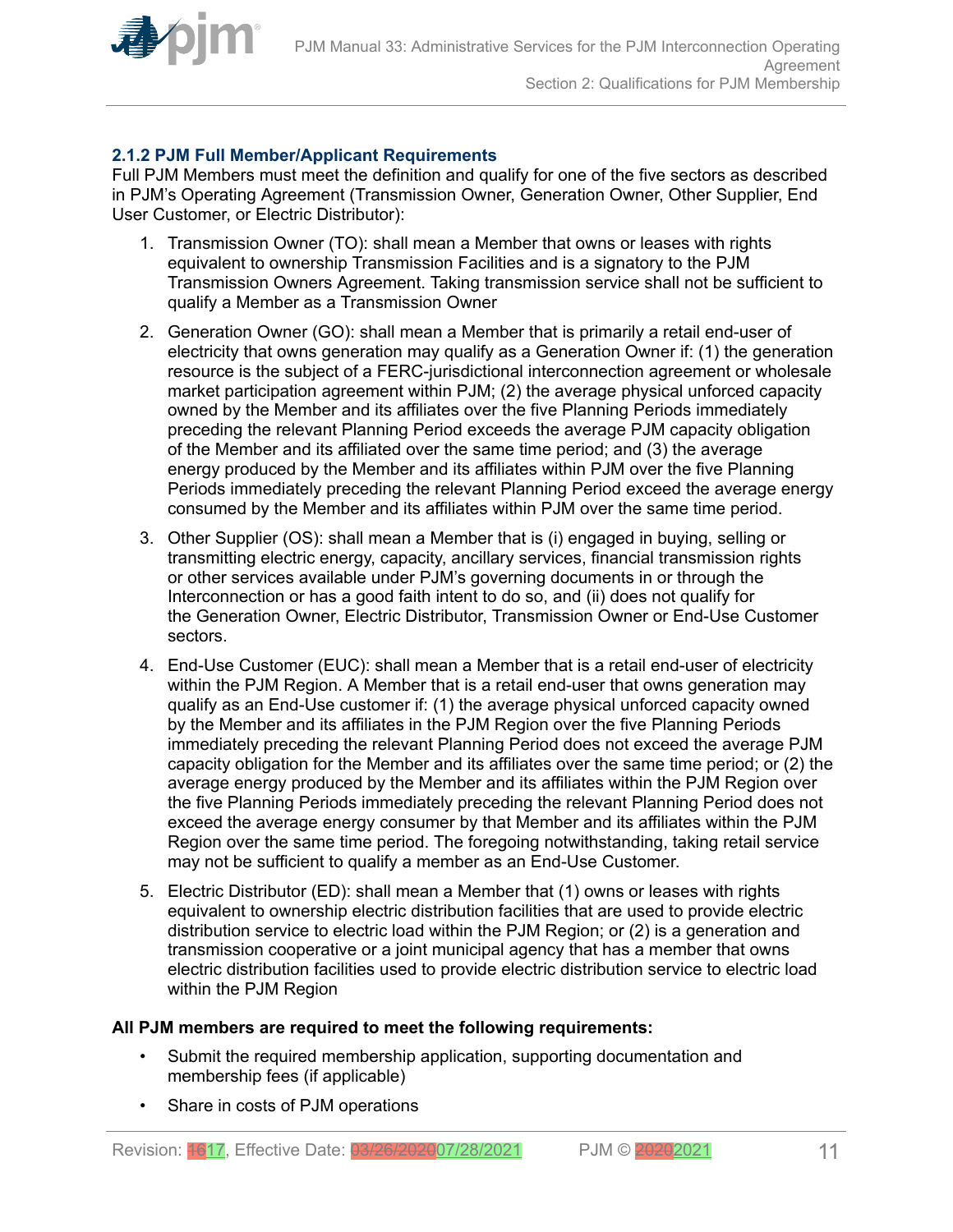<span id="page-10-0"></span>

### **2.1.2 PJM Full Member/Applicant Requirements**

Full PJM Members must meet the definition and qualify for one of the five sectors as described in PJM's Operating Agreement (Transmission Owner, Generation Owner, Other Supplier, End User Customer, or Electric Distributor):

- 1. Transmission Owner (TO): shall mean a Member that owns or leases with rights equivalent to ownership Transmission Facilities and is a signatory to the PJM Transmission Owners Agreement. Taking transmission service shall not be sufficient to qualify a Member as a Transmission Owner
- 2. Generation Owner (GO): shall mean a Member that is primarily a retail end-user of electricity that owns generation may qualify as a Generation Owner if: (1) the generation resource is the subject of a FERC-jurisdictional interconnection agreement or wholesale market participation agreement within PJM; (2) the average physical unforced capacity owned by the Member and its affiliates over the five Planning Periods immediately preceding the relevant Planning Period exceeds the average PJM capacity obligation of the Member and its affiliated over the same time period; and (3) the average energy produced by the Member and its affiliates within PJM over the five Planning Periods immediately preceding the relevant Planning Period exceed the average energy consumed by the Member and its affiliates within PJM over the same time period.
- 3. Other Supplier (OS): shall mean a Member that is (i) engaged in buying, selling or transmitting electric energy, capacity, ancillary services, financial transmission rights or other services available under PJM's governing documents in or through the Interconnection or has a good faith intent to do so, and (ii) does not qualify for the Generation Owner, Electric Distributor, Transmission Owner or End-Use Customer sectors.
- 4. End-Use Customer (EUC): shall mean a Member that is a retail end-user of electricity within the PJM Region. A Member that is a retail end-user that owns generation may qualify as an End-Use customer if: (1) the average physical unforced capacity owned by the Member and its affiliates in the PJM Region over the five Planning Periods immediately preceding the relevant Planning Period does not exceed the average PJM capacity obligation for the Member and its affiliates over the same time period; or (2) the average energy produced by the Member and its affiliates within the PJM Region over the five Planning Periods immediately preceding the relevant Planning Period does not exceed the average energy consumer by that Member and its affiliates within the PJM Region over the same time period. The foregoing notwithstanding, taking retail service may not be sufficient to qualify a member as an End-Use Customer.
- 5. Electric Distributor (ED): shall mean a Member that (1) owns or leases with rights equivalent to ownership electric distribution facilities that are used to provide electric distribution service to electric load within the PJM Region; or (2) is a generation and transmission cooperative or a joint municipal agency that has a member that owns electric distribution facilities used to provide electric distribution service to electric load within the PJM Region

### **All PJM members are required to meet the following requirements:**

- Submit the required membership application, supporting documentation and membership fees (if applicable)
- Share in costs of PJM operations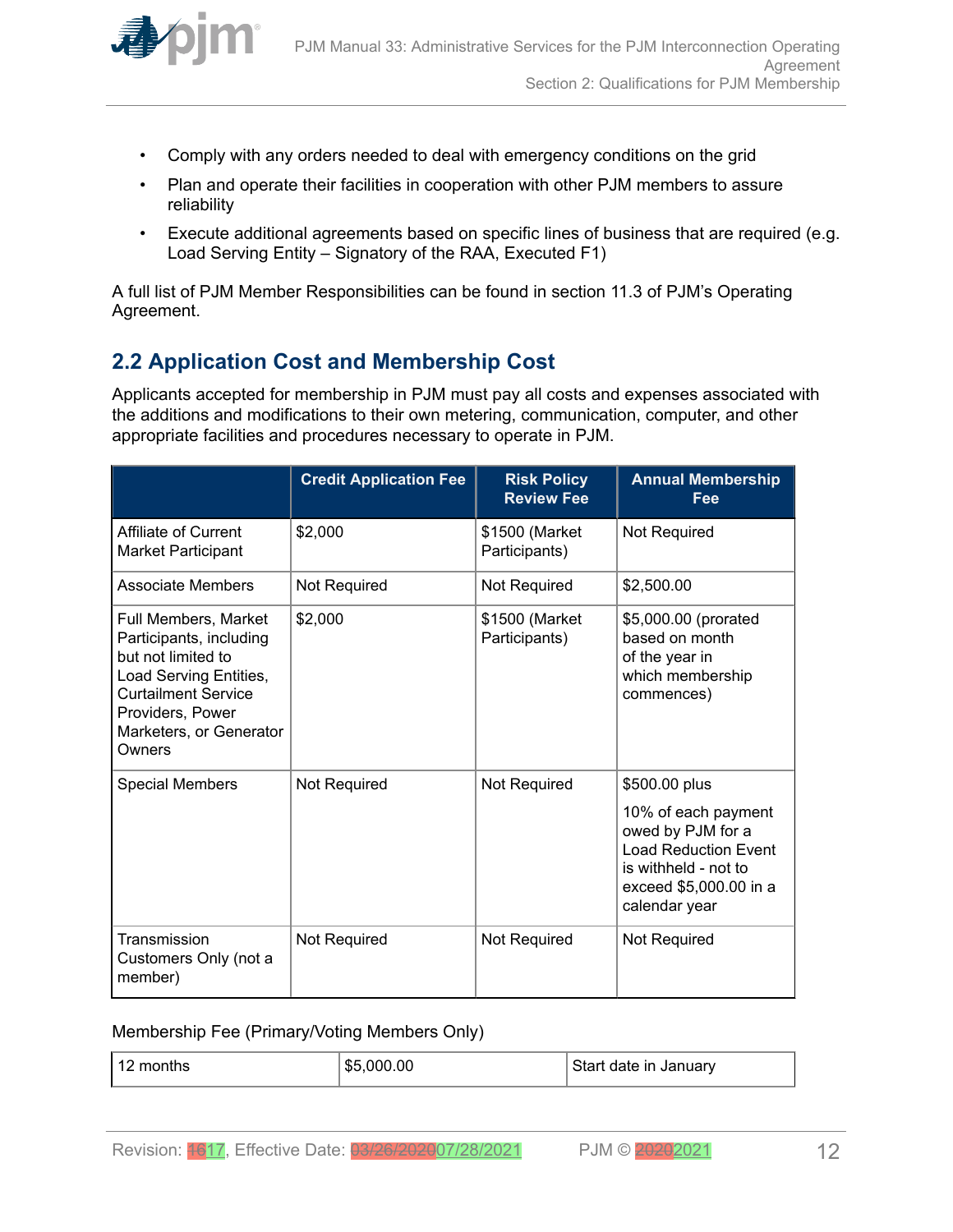<span id="page-11-0"></span>

- Comply with any orders needed to deal with emergency conditions on the grid
- Plan and operate their facilities in cooperation with other PJM members to assure reliability
- Execute additional agreements based on specific lines of business that are required (e.g. Load Serving Entity – Signatory of the RAA, Executed F1)

A full list of PJM Member Responsibilities can be found in section 11.3 of PJM's Operating Agreement.

# **2.2 Application Cost and Membership Cost**

Applicants accepted for membership in PJM must pay all costs and expenses associated with the additions and modifications to their own metering, communication, computer, and other appropriate facilities and procedures necessary to operate in PJM.

|                                                                                                                                                                                        | <b>Credit Application Fee</b> | <b>Risk Policy</b><br><b>Review Fee</b> | <b>Annual Membership</b><br>Fee                                                                                                                             |
|----------------------------------------------------------------------------------------------------------------------------------------------------------------------------------------|-------------------------------|-----------------------------------------|-------------------------------------------------------------------------------------------------------------------------------------------------------------|
| Affiliate of Current<br><b>Market Participant</b>                                                                                                                                      | \$2,000                       | \$1500 (Market<br>Participants)         | Not Required                                                                                                                                                |
| Associate Members                                                                                                                                                                      | Not Required                  | Not Required                            | \$2,500.00                                                                                                                                                  |
| Full Members, Market<br>Participants, including<br>but not limited to<br>Load Serving Entities,<br><b>Curtailment Service</b><br>Providers, Power<br>Marketers, or Generator<br>Owners | \$2,000                       | \$1500 (Market<br>Participants)         | \$5,000.00 (prorated<br>based on month<br>of the year in<br>which membership<br>commences)                                                                  |
| <b>Special Members</b>                                                                                                                                                                 | Not Required                  | Not Required                            | \$500.00 plus<br>10% of each payment<br>owed by PJM for a<br><b>Load Reduction Event</b><br>is withheld - not to<br>exceed \$5,000.00 in a<br>calendar year |
| Transmission<br>Customers Only (not a<br>member)                                                                                                                                       | Not Required                  | Not Required                            | Not Required                                                                                                                                                |

#### Membership Fee (Primary/Voting Members Only)

| 12<br>months | .000.00<br>\$5 | Start date in January |
|--------------|----------------|-----------------------|
|--------------|----------------|-----------------------|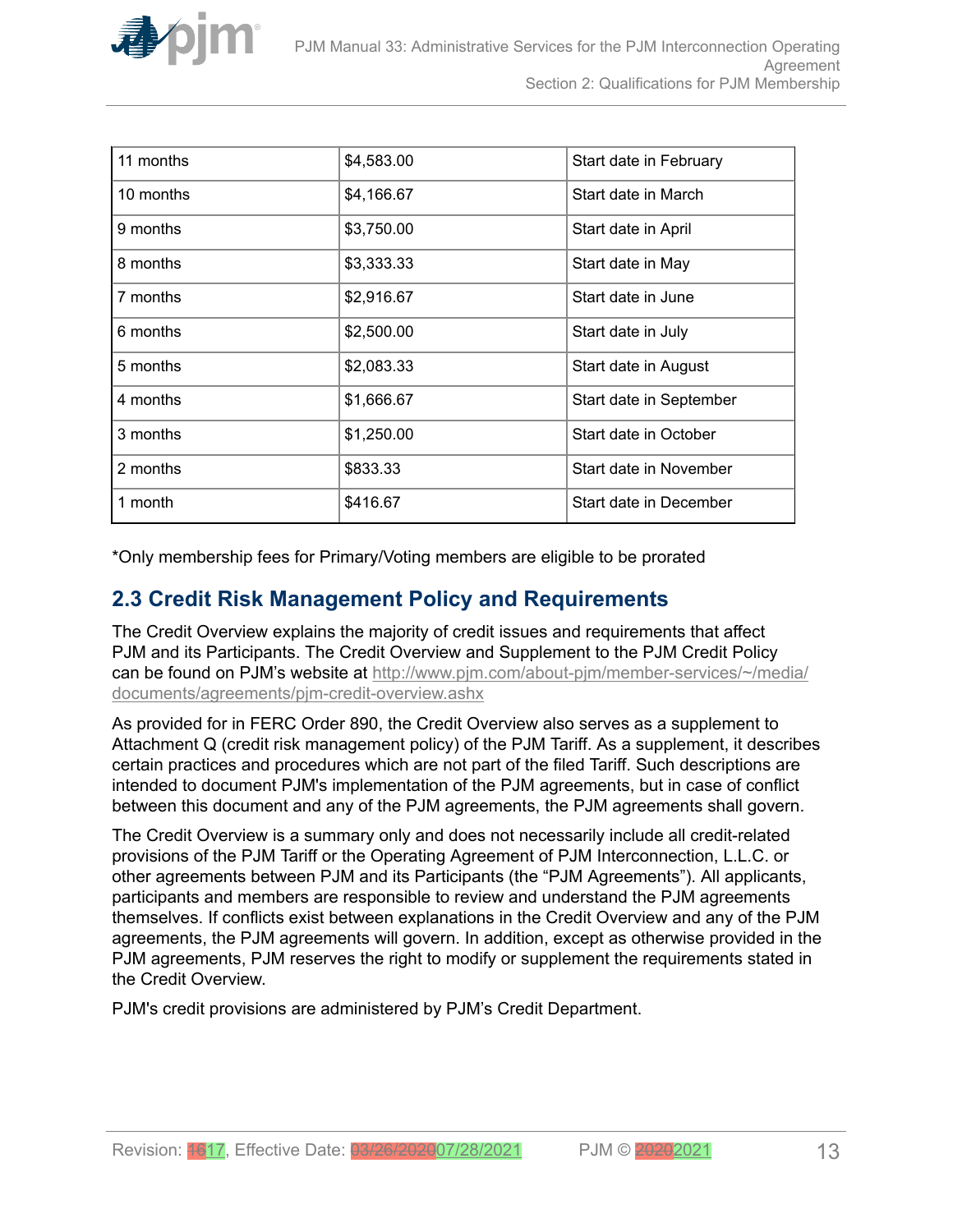<span id="page-12-0"></span>

| 11 months | \$4,583.00 | Start date in February  |
|-----------|------------|-------------------------|
| 10 months | \$4,166.67 | Start date in March     |
| 9 months  | \$3,750.00 | Start date in April     |
| 8 months  | \$3,333.33 | Start date in May       |
| 7 months  | \$2,916.67 | Start date in June      |
| 6 months  | \$2,500.00 | Start date in July      |
| 5 months  | \$2,083.33 | Start date in August    |
| 4 months  | \$1,666.67 | Start date in September |
| 3 months  | \$1,250.00 | Start date in October   |
| 2 months  | \$833.33   | Start date in November  |
| 1 month   | \$416.67   | Start date in December  |

\*Only membership fees for Primary/Voting members are eligible to be prorated

### **2.3 Credit Risk Management Policy and Requirements**

The Credit Overview explains the majority of credit issues and requirements that affect PJM and its Participants. The Credit Overview and Supplement to the PJM Credit Policy can be found on PJM's website at [http://www.pjm.com/about-pjm/member-services/~/media/](http://www.pjm.com/about-pjm/member-services/~/media/documents/agreements/pjm-credit-overview.ashx) [documents/agreements/pjm-credit-overview.ashx](http://www.pjm.com/about-pjm/member-services/~/media/documents/agreements/pjm-credit-overview.ashx)

As provided for in FERC Order 890, the Credit Overview also serves as a supplement to Attachment Q (credit risk management policy) of the PJM Tariff. As a supplement, it describes certain practices and procedures which are not part of the filed Tariff. Such descriptions are intended to document PJM's implementation of the PJM agreements, but in case of conflict between this document and any of the PJM agreements, the PJM agreements shall govern.

The Credit Overview is a summary only and does not necessarily include all credit-related provisions of the PJM Tariff or the Operating Agreement of PJM Interconnection, L.L.C. or other agreements between PJM and its Participants (the "PJM Agreements"). All applicants, participants and members are responsible to review and understand the PJM agreements themselves. If conflicts exist between explanations in the Credit Overview and any of the PJM agreements, the PJM agreements will govern. In addition, except as otherwise provided in the PJM agreements, PJM reserves the right to modify or supplement the requirements stated in the Credit Overview.

PJM's credit provisions are administered by PJM's Credit Department.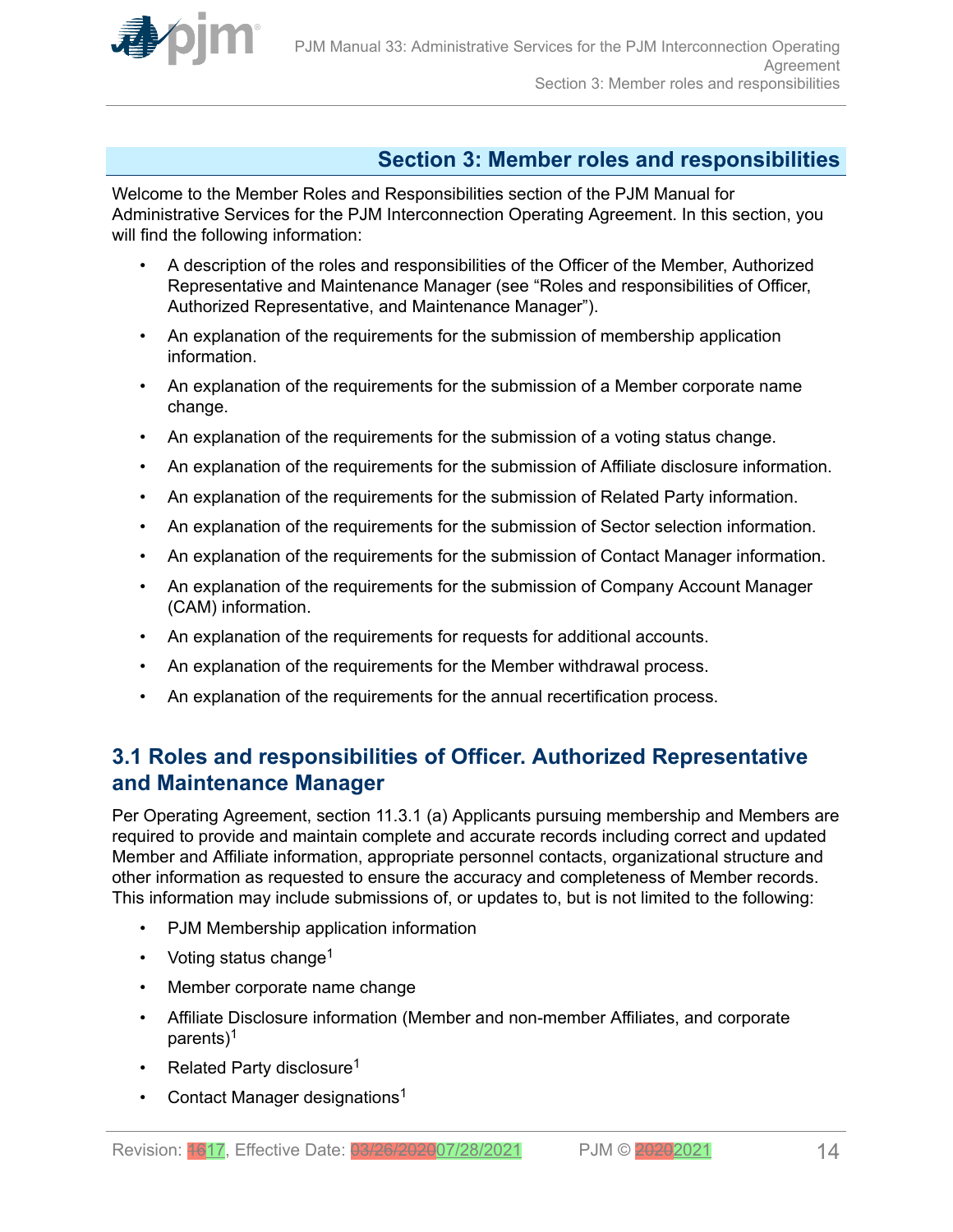<span id="page-13-0"></span>

# **Section 3: Member roles and responsibilities**

Welcome to the Member Roles and Responsibilities section of the PJM Manual for Administrative Services for the PJM Interconnection Operating Agreement. In this section, you will find the following information:

- A description of the roles and responsibilities of the Officer of the Member, Authorized Representative and Maintenance Manager (see "Roles and responsibilities of Officer, Authorized Representative, and Maintenance Manager").
- An explanation of the requirements for the submission of membership application information.
- An explanation of the requirements for the submission of a Member corporate name change.
- An explanation of the requirements for the submission of a voting status change.
- An explanation of the requirements for the submission of Affiliate disclosure information.
- An explanation of the requirements for the submission of Related Party information.
- An explanation of the requirements for the submission of Sector selection information.
- An explanation of the requirements for the submission of Contact Manager information.
- An explanation of the requirements for the submission of Company Account Manager (CAM) information.
- An explanation of the requirements for requests for additional accounts.
- An explanation of the requirements for the Member withdrawal process.
- An explanation of the requirements for the annual recertification process.

# **3.1 Roles and responsibilities of Officer. Authorized Representative and Maintenance Manager**

Per Operating Agreement, section 11.3.1 (a) Applicants pursuing membership and Members are required to provide and maintain complete and accurate records including correct and updated Member and Affiliate information, appropriate personnel contacts, organizational structure and other information as requested to ensure the accuracy and completeness of Member records. This information may include submissions of, or updates to, but is not limited to the following:

- PJM Membership application information
- Voting status change<sup>1</sup>
- Member corporate name change
- Affiliate Disclosure information (Member and non-member Affiliates, and corporate parents)<sup>1</sup>
- Related Party disclosure<sup>1</sup>
- Contact Manager designations<sup>1</sup>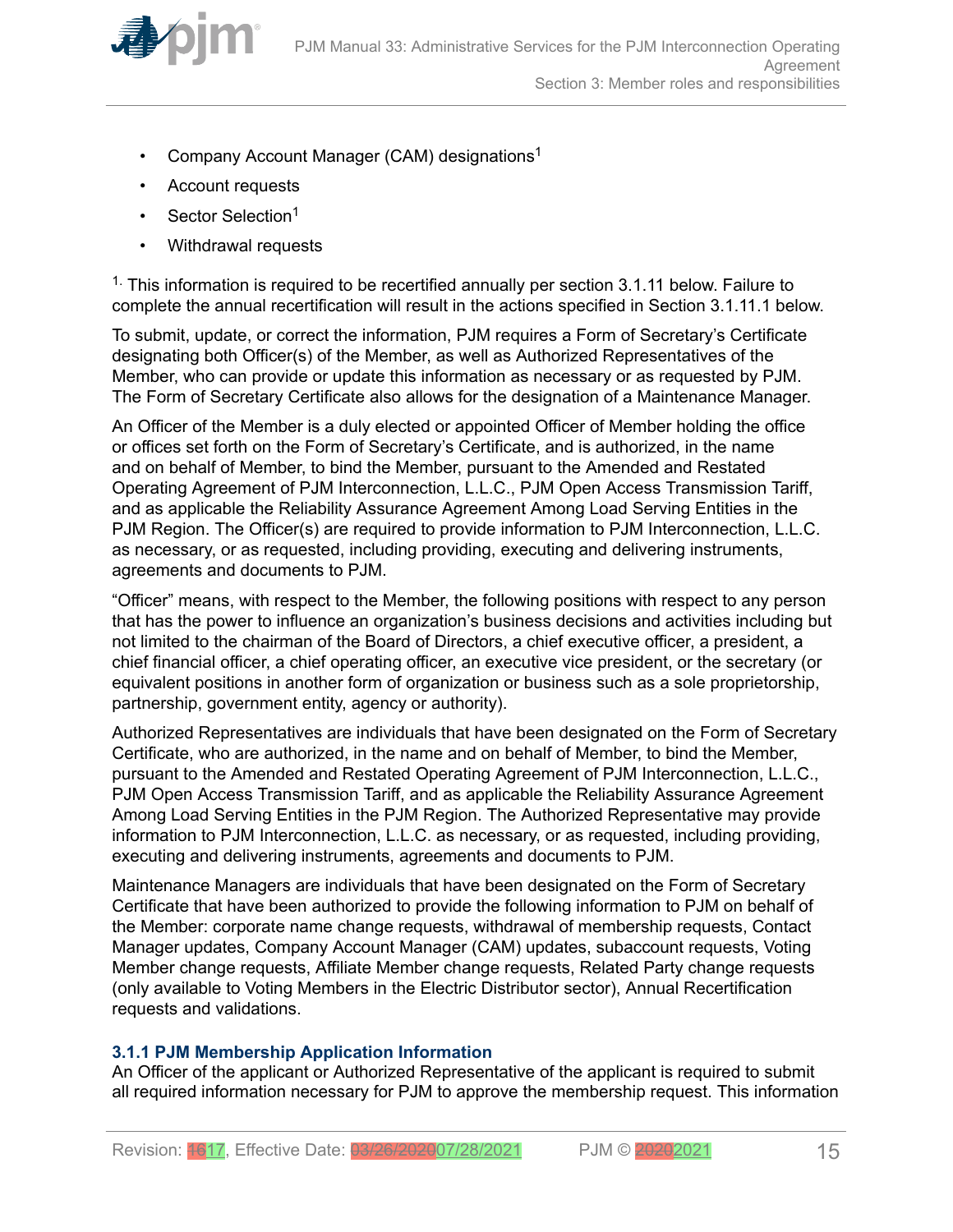<span id="page-14-0"></span>

- Company Account Manager (CAM) designations<sup>1</sup>
- Account requests
- Sector Selection<sup>1</sup>
- Withdrawal requests

 $1$ . This information is required to be recertified annually per section 3.1.11 below. Failure to complete the annual recertification will result in the actions specified in Section 3.1.11.1 below.

To submit, update, or correct the information, PJM requires a Form of Secretary's Certificate designating both Officer(s) of the Member, as well as Authorized Representatives of the Member, who can provide or update this information as necessary or as requested by PJM. The Form of Secretary Certificate also allows for the designation of a Maintenance Manager.

An Officer of the Member is a duly elected or appointed Officer of Member holding the office or offices set forth on the Form of Secretary's Certificate, and is authorized, in the name and on behalf of Member, to bind the Member, pursuant to the Amended and Restated Operating Agreement of PJM Interconnection, L.L.C., PJM Open Access Transmission Tariff, and as applicable the Reliability Assurance Agreement Among Load Serving Entities in the PJM Region. The Officer(s) are required to provide information to PJM Interconnection, L.L.C. as necessary, or as requested, including providing, executing and delivering instruments, agreements and documents to PJM.

"Officer" means, with respect to the Member, the following positions with respect to any person that has the power to influence an organization's business decisions and activities including but not limited to the chairman of the Board of Directors, a chief executive officer, a president, a chief financial officer, a chief operating officer, an executive vice president, or the secretary (or equivalent positions in another form of organization or business such as a sole proprietorship, partnership, government entity, agency or authority).

Authorized Representatives are individuals that have been designated on the Form of Secretary Certificate, who are authorized, in the name and on behalf of Member, to bind the Member, pursuant to the Amended and Restated Operating Agreement of PJM Interconnection, L.L.C., PJM Open Access Transmission Tariff, and as applicable the Reliability Assurance Agreement Among Load Serving Entities in the PJM Region. The Authorized Representative may provide information to PJM Interconnection, L.L.C. as necessary, or as requested, including providing, executing and delivering instruments, agreements and documents to PJM.

Maintenance Managers are individuals that have been designated on the Form of Secretary Certificate that have been authorized to provide the following information to PJM on behalf of the Member: corporate name change requests, withdrawal of membership requests, Contact Manager updates, Company Account Manager (CAM) updates, subaccount requests, Voting Member change requests, Affiliate Member change requests, Related Party change requests (only available to Voting Members in the Electric Distributor sector), Annual Recertification requests and validations.

### **3.1.1 PJM Membership Application Information**

An Officer of the applicant or Authorized Representative of the applicant is required to submit all required information necessary for PJM to approve the membership request. This information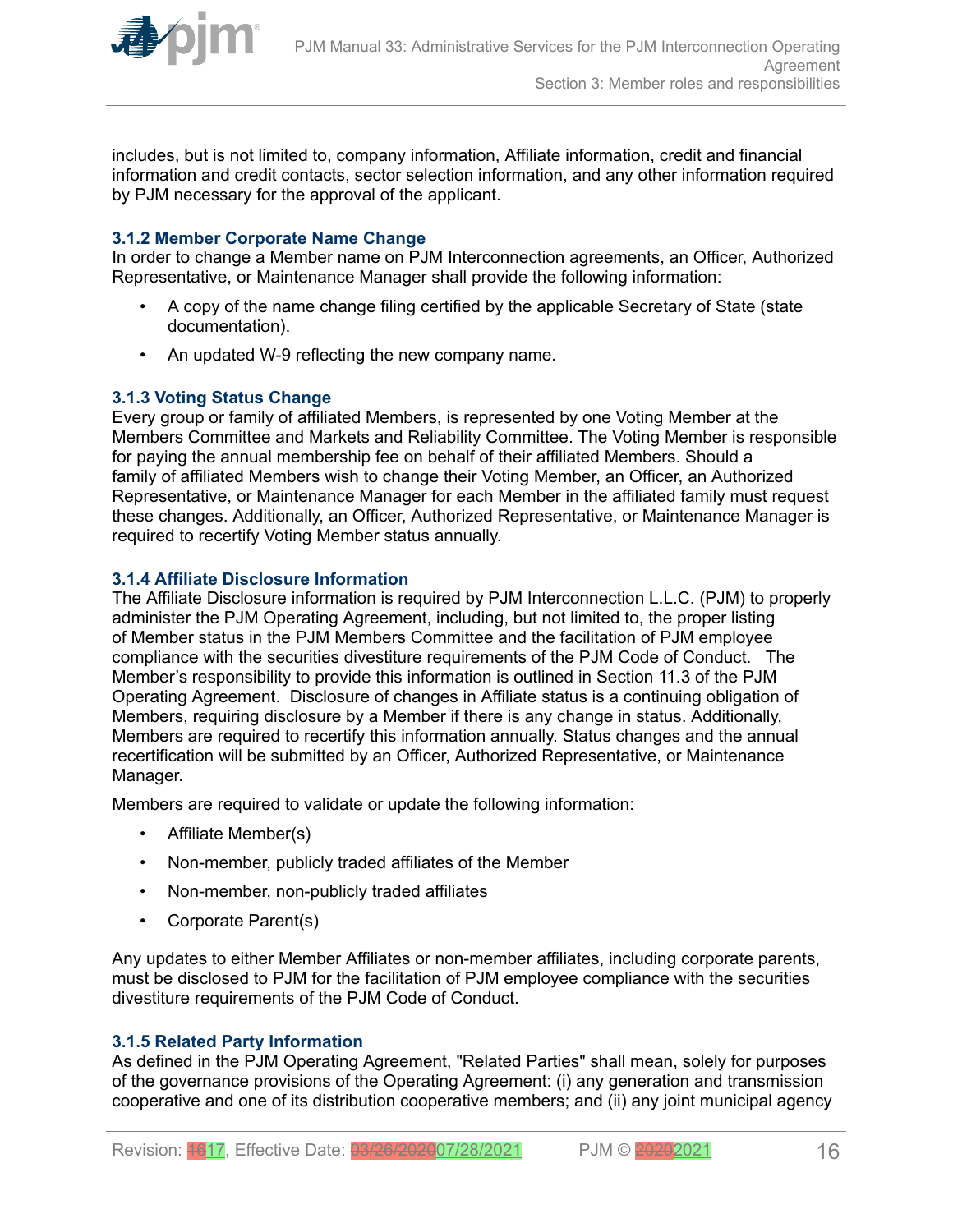<span id="page-15-0"></span>

includes, but is not limited to, company information, Affiliate information, credit and financial information and credit contacts, sector selection information, and any other information required by PJM necessary for the approval of the applicant.

### **3.1.2 Member Corporate Name Change**

In order to change a Member name on PJM Interconnection agreements, an Officer, Authorized Representative, or Maintenance Manager shall provide the following information:

- A copy of the name change filing certified by the applicable Secretary of State (state documentation).
- An updated W-9 reflecting the new company name.

### **3.1.3 Voting Status Change**

Every group or family of affiliated Members, is represented by one Voting Member at the Members Committee and Markets and Reliability Committee. The Voting Member is responsible for paying the annual membership fee on behalf of their affiliated Members. Should a family of affiliated Members wish to change their Voting Member, an Officer, an Authorized Representative, or Maintenance Manager for each Member in the affiliated family must request these changes. Additionally, an Officer, Authorized Representative, or Maintenance Manager is required to recertify Voting Member status annually.

### **3.1.4 Affiliate Disclosure Information**

The Affiliate Disclosure information is required by PJM Interconnection L.L.C. (PJM) to properly administer the PJM Operating Agreement, including, but not limited to, the proper listing of Member status in the PJM Members Committee and the facilitation of PJM employee compliance with the securities divestiture requirements of the PJM Code of Conduct. The Member's responsibility to provide this information is outlined in Section 11.3 of the PJM Operating Agreement. Disclosure of changes in Affiliate status is a continuing obligation of Members, requiring disclosure by a Member if there is any change in status. Additionally, Members are required to recertify this information annually. Status changes and the annual recertification will be submitted by an Officer, Authorized Representative, or Maintenance Manager.

Members are required to validate or update the following information:

- Affiliate Member(s)
- Non-member, publicly traded affiliates of the Member
- Non-member, non-publicly traded affiliates
- Corporate Parent(s)

Any updates to either Member Affiliates or non-member affiliates, including corporate parents, must be disclosed to PJM for the facilitation of PJM employee compliance with the securities divestiture requirements of the PJM Code of Conduct.

### **3.1.5 Related Party Information**

As defined in the PJM Operating Agreement, "Related Parties" shall mean, solely for purposes of the governance provisions of the Operating Agreement: (i) any generation and transmission cooperative and one of its distribution cooperative members; and (ii) any joint municipal agency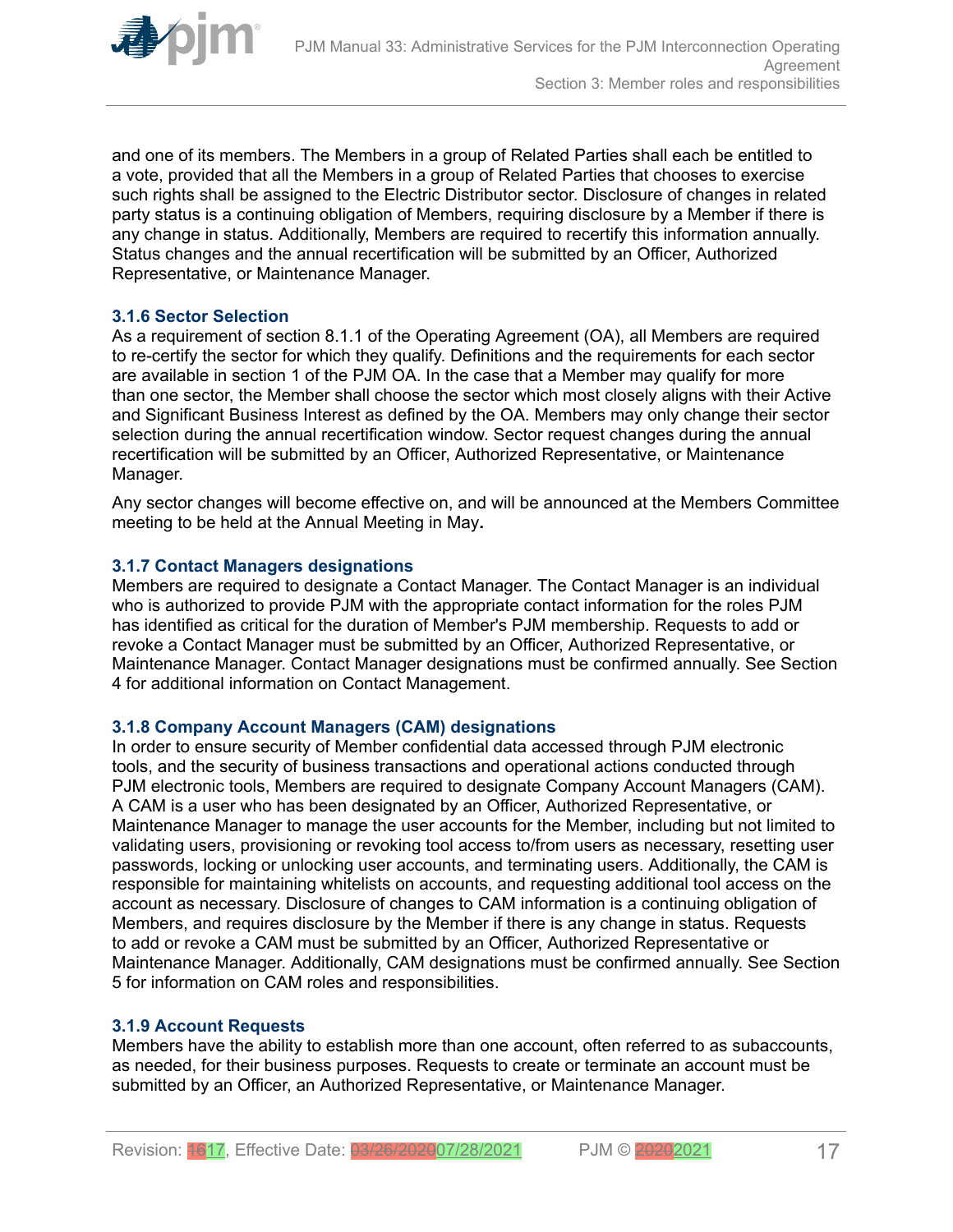<span id="page-16-0"></span>

and one of its members. The Members in a group of Related Parties shall each be entitled to a vote, provided that all the Members in a group of Related Parties that chooses to exercise such rights shall be assigned to the Electric Distributor sector. Disclosure of changes in related party status is a continuing obligation of Members, requiring disclosure by a Member if there is any change in status. Additionally, Members are required to recertify this information annually. Status changes and the annual recertification will be submitted by an Officer, Authorized Representative, or Maintenance Manager.

### **3.1.6 Sector Selection**

As a requirement of section 8.1.1 of the Operating Agreement (OA), all Members are required to re-certify the sector for which they qualify. Definitions and the requirements for each sector are available in section 1 of the PJM OA. In the case that a Member may qualify for more than one sector, the Member shall choose the sector which most closely aligns with their Active and Significant Business Interest as defined by the OA. Members may only change their sector selection during the annual recertification window. Sector request changes during the annual recertification will be submitted by an Officer, Authorized Representative, or Maintenance Manager.

Any sector changes will become effective on, and will be announced at the Members Committee meeting to be held at the Annual Meeting in May**.**

### **3.1.7 Contact Managers designations**

Members are required to designate a Contact Manager. The Contact Manager is an individual who is authorized to provide PJM with the appropriate contact information for the roles PJM has identified as critical for the duration of Member's PJM membership. Requests to add or revoke a Contact Manager must be submitted by an Officer, Authorized Representative, or Maintenance Manager. Contact Manager designations must be confirmed annually. See Section 4 for additional information on Contact Management.

### **3.1.8 Company Account Managers (CAM) designations**

In order to ensure security of Member confidential data accessed through PJM electronic tools, and the security of business transactions and operational actions conducted through PJM electronic tools, Members are required to designate Company Account Managers (CAM). A CAM is a user who has been designated by an Officer, Authorized Representative, or Maintenance Manager to manage the user accounts for the Member, including but not limited to validating users, provisioning or revoking tool access to/from users as necessary, resetting user passwords, locking or unlocking user accounts, and terminating users. Additionally, the CAM is responsible for maintaining whitelists on accounts, and requesting additional tool access on the account as necessary. Disclosure of changes to CAM information is a continuing obligation of Members, and requires disclosure by the Member if there is any change in status. Requests to add or revoke a CAM must be submitted by an Officer, Authorized Representative or Maintenance Manager. Additionally, CAM designations must be confirmed annually. See Section 5 for information on CAM roles and responsibilities.

#### **3.1.9 Account Requests**

Members have the ability to establish more than one account, often referred to as subaccounts, as needed, for their business purposes. Requests to create or terminate an account must be submitted by an Officer, an Authorized Representative, or Maintenance Manager.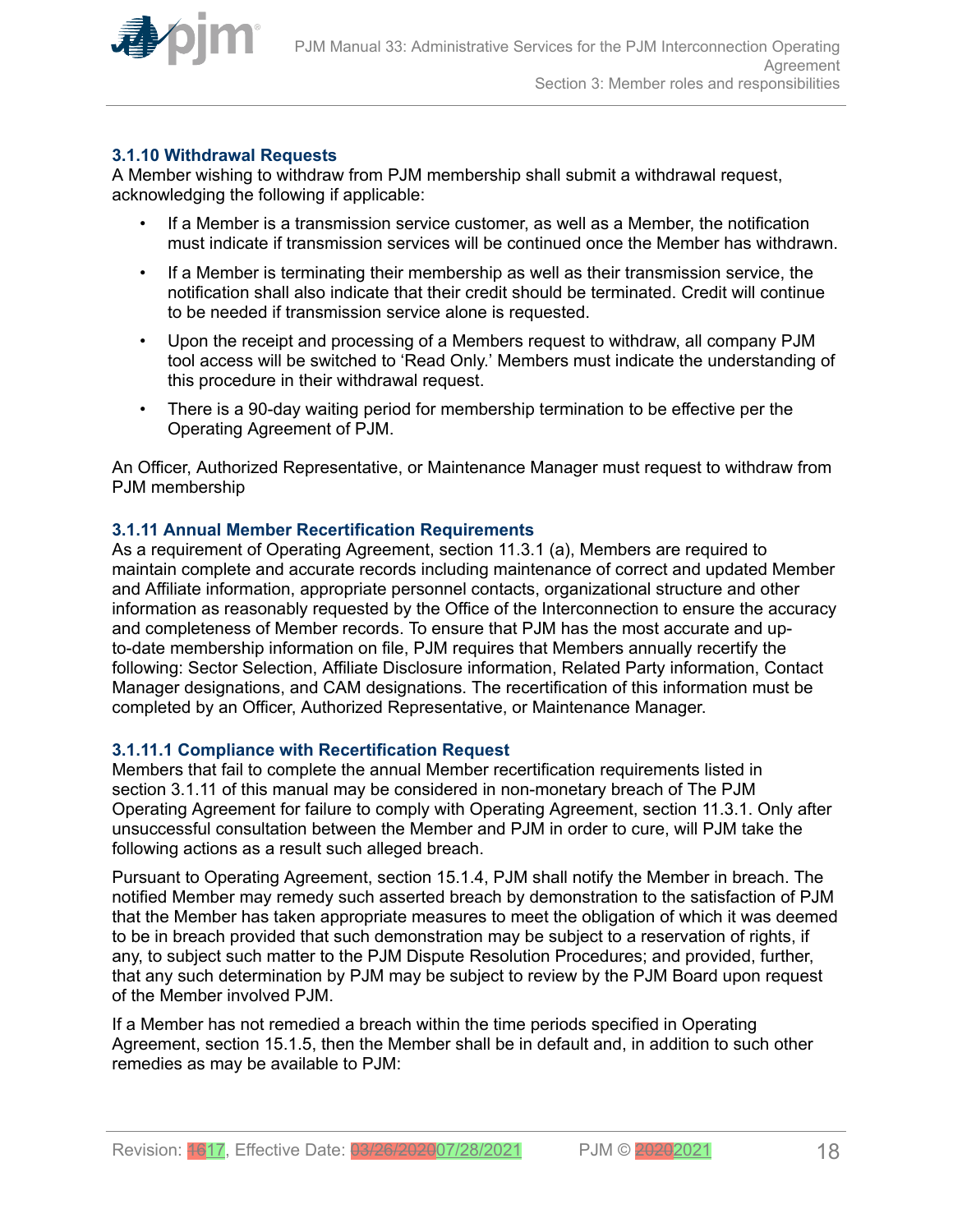<span id="page-17-0"></span>

### **3.1.10 Withdrawal Requests**

A Member wishing to withdraw from PJM membership shall submit a withdrawal request, acknowledging the following if applicable:

- If a Member is a transmission service customer, as well as a Member, the notification must indicate if transmission services will be continued once the Member has withdrawn.
- If a Member is terminating their membership as well as their transmission service, the notification shall also indicate that their credit should be terminated. Credit will continue to be needed if transmission service alone is requested.
- Upon the receipt and processing of a Members request to withdraw, all company PJM tool access will be switched to 'Read Only.' Members must indicate the understanding of this procedure in their withdrawal request.
- There is a 90-day waiting period for membership termination to be effective per the Operating Agreement of PJM.

An Officer, Authorized Representative, or Maintenance Manager must request to withdraw from PJM membership

### **3.1.11 Annual Member Recertification Requirements**

As a requirement of Operating Agreement, section 11.3.1 (a), Members are required to maintain complete and accurate records including maintenance of correct and updated Member and Affiliate information, appropriate personnel contacts, organizational structure and other information as reasonably requested by the Office of the Interconnection to ensure the accuracy and completeness of Member records. To ensure that PJM has the most accurate and upto-date membership information on file, PJM requires that Members annually recertify the following: Sector Selection, Affiliate Disclosure information, Related Party information, Contact Manager designations, and CAM designations. The recertification of this information must be completed by an Officer, Authorized Representative, or Maintenance Manager.

### **3.1.11.1 Compliance with Recertification Request**

Members that fail to complete the annual Member recertification requirements listed in section 3.1.11 of this manual may be considered in non-monetary breach of The PJM Operating Agreement for failure to comply with Operating Agreement, section 11.3.1. Only after unsuccessful consultation between the Member and PJM in order to cure, will PJM take the following actions as a result such alleged breach.

Pursuant to Operating Agreement, section 15.1.4, PJM shall notify the Member in breach. The notified Member may remedy such asserted breach by demonstration to the satisfaction of PJM that the Member has taken appropriate measures to meet the obligation of which it was deemed to be in breach provided that such demonstration may be subject to a reservation of rights, if any, to subject such matter to the PJM Dispute Resolution Procedures; and provided, further, that any such determination by PJM may be subject to review by the PJM Board upon request of the Member involved PJM.

If a Member has not remedied a breach within the time periods specified in Operating Agreement, section 15.1.5, then the Member shall be in default and, in addition to such other remedies as may be available to PJM: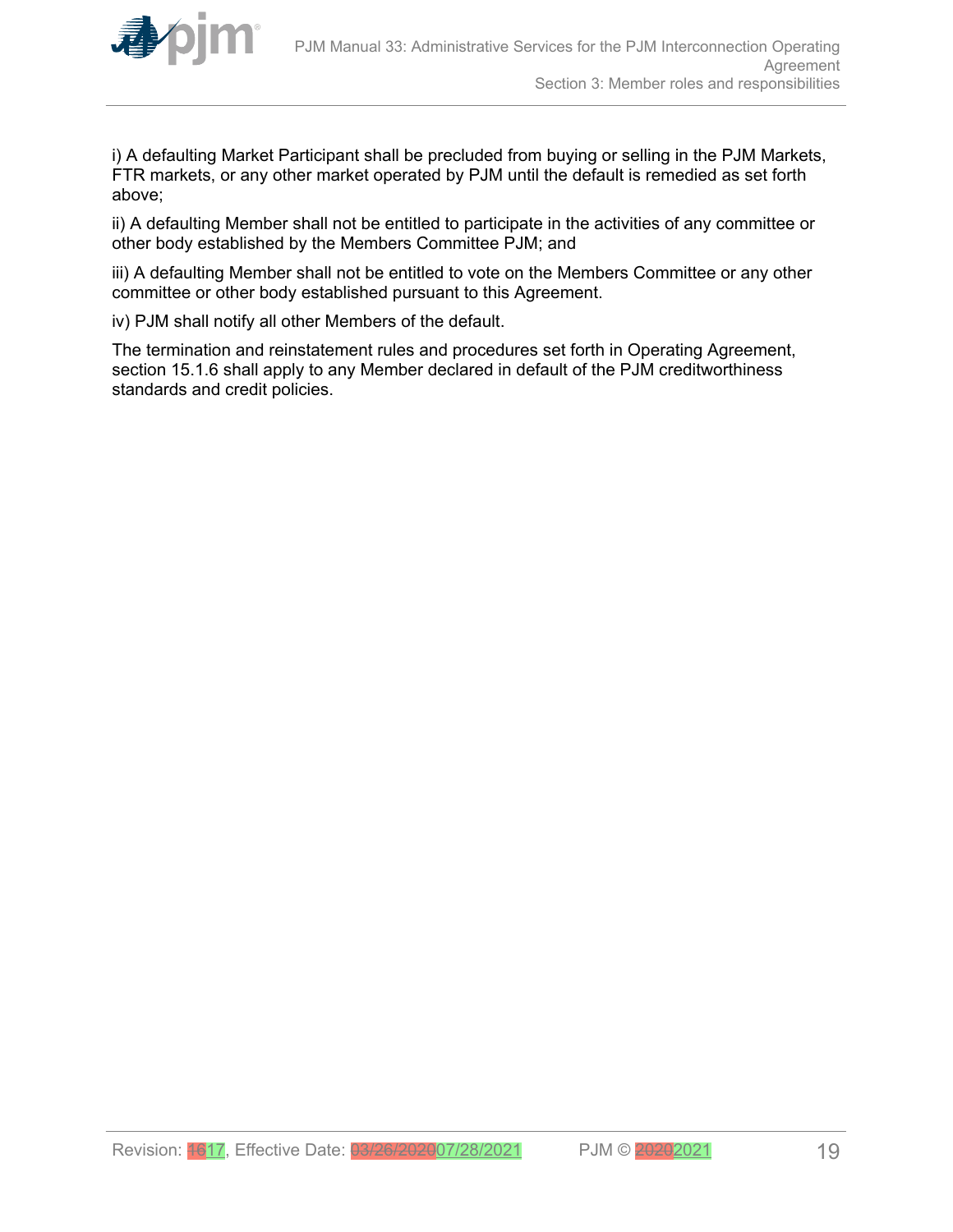

i) A defaulting Market Participant shall be precluded from buying or selling in the PJM Markets, FTR markets, or any other market operated by PJM until the default is remedied as set forth above;

ii) A defaulting Member shall not be entitled to participate in the activities of any committee or other body established by the Members Committee PJM; and

iii) A defaulting Member shall not be entitled to vote on the Members Committee or any other committee or other body established pursuant to this Agreement.

iv) PJM shall notify all other Members of the default.

The termination and reinstatement rules and procedures set forth in Operating Agreement, section 15.1.6 shall apply to any Member declared in default of the PJM creditworthiness standards and credit policies.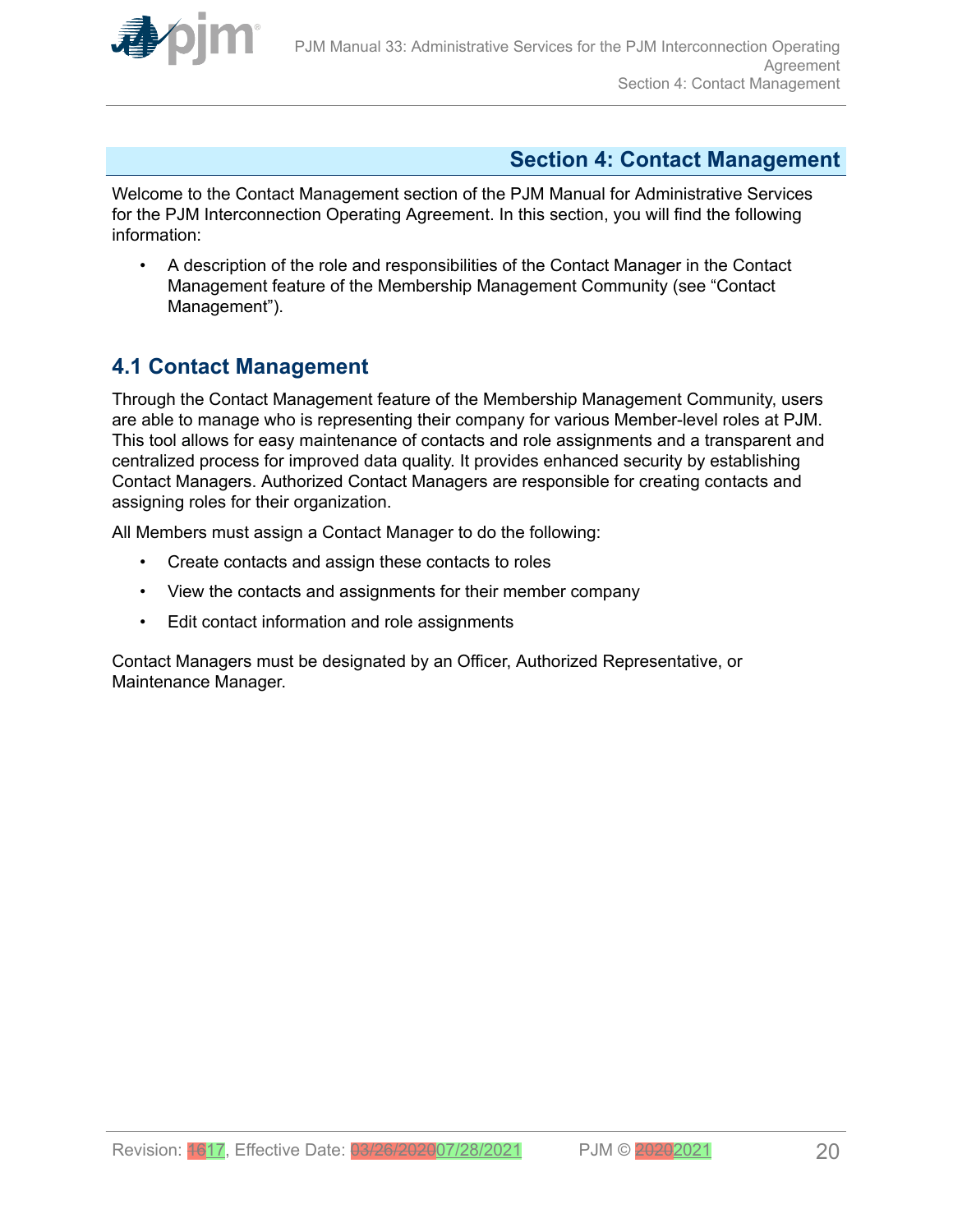<span id="page-19-0"></span>

### **Section 4: Contact Management**

Welcome to the Contact Management section of the PJM Manual for Administrative Services for the PJM Interconnection Operating Agreement. In this section, you will find the following information:

• A description of the role and responsibilities of the Contact Manager in the Contact Management feature of the Membership Management Community (see "Contact Management").

# **4.1 Contact Management**

Through the Contact Management feature of the Membership Management Community, users are able to manage who is representing their company for various Member-level roles at PJM. This tool allows for easy maintenance of contacts and role assignments and a transparent and centralized process for improved data quality. It provides enhanced security by establishing Contact Managers. Authorized Contact Managers are responsible for creating contacts and assigning roles for their organization.

All Members must assign a Contact Manager to do the following:

- Create contacts and assign these contacts to roles
- View the contacts and assignments for their member company
- Edit contact information and role assignments

Contact Managers must be designated by an Officer, Authorized Representative, or Maintenance Manager.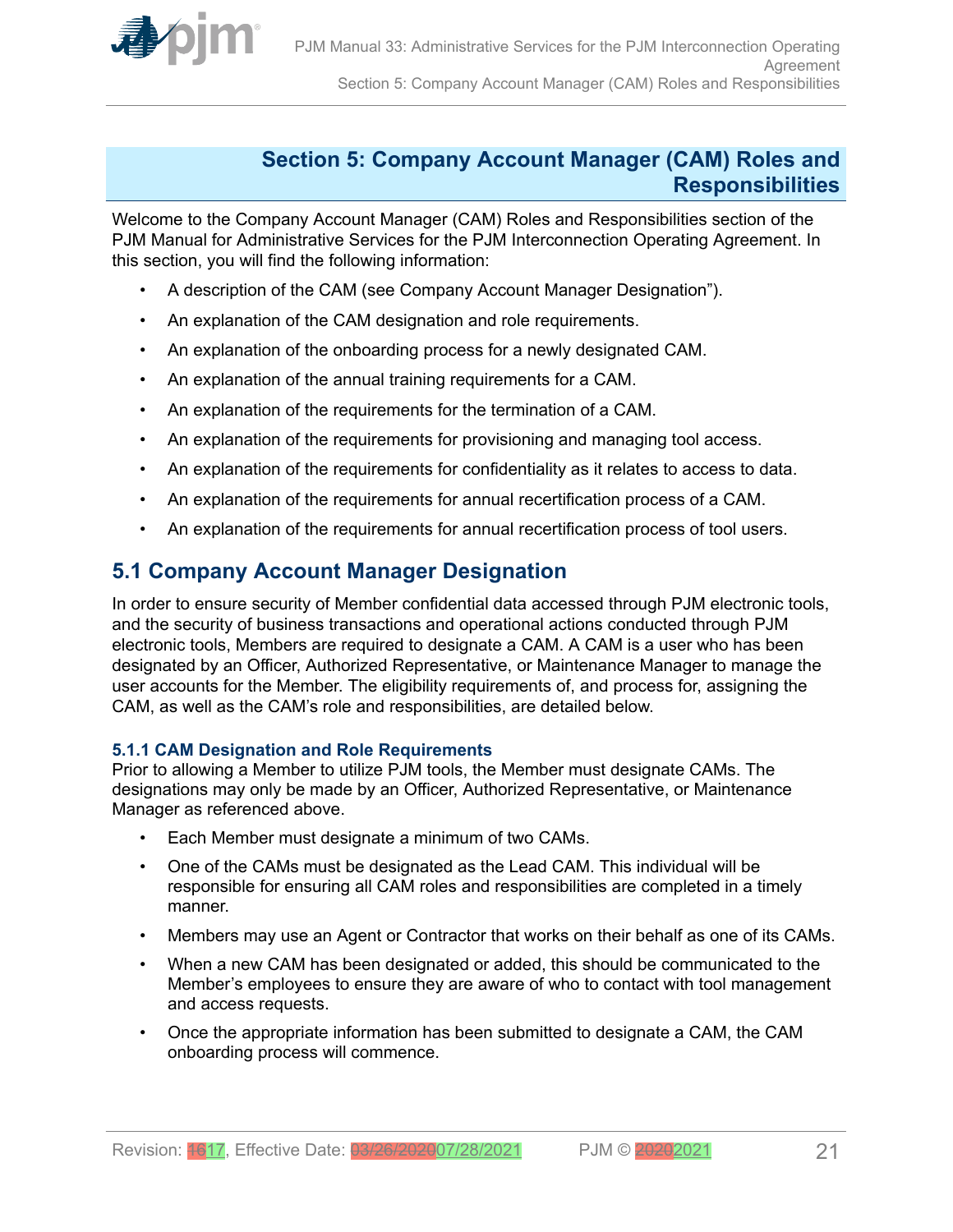<span id="page-20-0"></span>

### **Section 5: Company Account Manager (CAM) Roles and Responsibilities**

Welcome to the Company Account Manager (CAM) Roles and Responsibilities section of the PJM Manual for Administrative Services for the PJM Interconnection Operating Agreement. In this section, you will find the following information:

- A description of the CAM (see Company Account Manager Designation").
- An explanation of the CAM designation and role requirements.
- An explanation of the onboarding process for a newly designated CAM.
- An explanation of the annual training requirements for a CAM.
- An explanation of the requirements for the termination of a CAM.
- An explanation of the requirements for provisioning and managing tool access.
- An explanation of the requirements for confidentiality as it relates to access to data.
- An explanation of the requirements for annual recertification process of a CAM.
- An explanation of the requirements for annual recertification process of tool users.

# **5.1 Company Account Manager Designation**

In order to ensure security of Member confidential data accessed through PJM electronic tools, and the security of business transactions and operational actions conducted through PJM electronic tools, Members are required to designate a CAM. A CAM is a user who has been designated by an Officer, Authorized Representative, or Maintenance Manager to manage the user accounts for the Member. The eligibility requirements of, and process for, assigning the CAM, as well as the CAM's role and responsibilities, are detailed below.

### **5.1.1 CAM Designation and Role Requirements**

Prior to allowing a Member to utilize PJM tools, the Member must designate CAMs. The designations may only be made by an Officer, Authorized Representative, or Maintenance Manager as referenced above.

- Each Member must designate a minimum of two CAMs.
- One of the CAMs must be designated as the Lead CAM. This individual will be responsible for ensuring all CAM roles and responsibilities are completed in a timely manner.
- Members may use an Agent or Contractor that works on their behalf as one of its CAMs.
- When a new CAM has been designated or added, this should be communicated to the Member's employees to ensure they are aware of who to contact with tool management and access requests.
- Once the appropriate information has been submitted to designate a CAM, the CAM onboarding process will commence.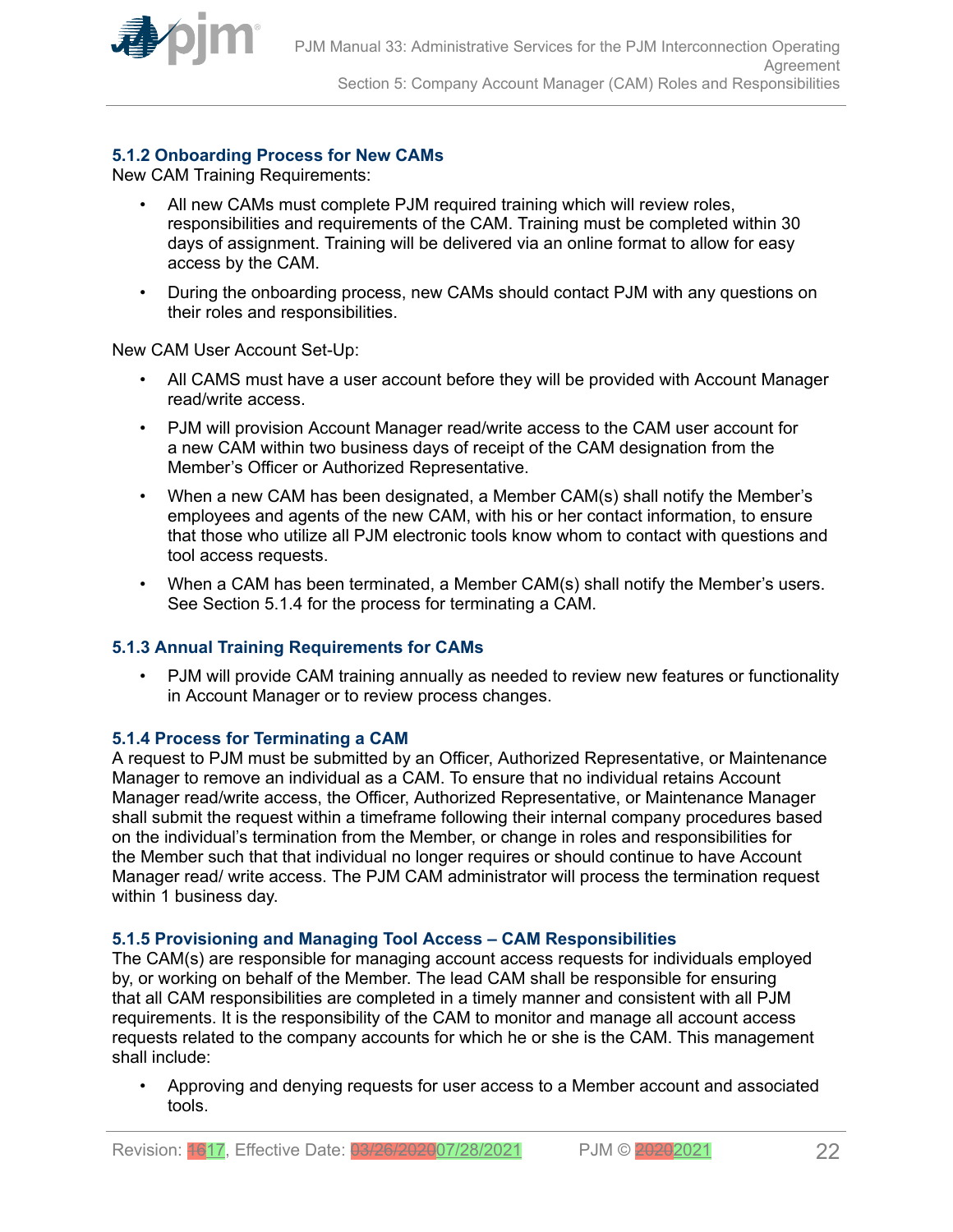<span id="page-21-0"></span>

### **5.1.2 Onboarding Process for New CAMs**

New CAM Training Requirements:

- All new CAMs must complete PJM required training which will review roles, responsibilities and requirements of the CAM. Training must be completed within 30 days of assignment. Training will be delivered via an online format to allow for easy access by the CAM.
- During the onboarding process, new CAMs should contact PJM with any questions on their roles and responsibilities.

New CAM User Account Set-Up:

- All CAMS must have a user account before they will be provided with Account Manager read/write access.
- PJM will provision Account Manager read/write access to the CAM user account for a new CAM within two business days of receipt of the CAM designation from the Member's Officer or Authorized Representative.
- When a new CAM has been designated, a Member CAM(s) shall notify the Member's employees and agents of the new CAM, with his or her contact information, to ensure that those who utilize all PJM electronic tools know whom to contact with questions and tool access requests.
- When a CAM has been terminated, a Member CAM(s) shall notify the Member's users. See Section 5.1.4 for the process for terminating a CAM.

### **5.1.3 Annual Training Requirements for CAMs**

• PJM will provide CAM training annually as needed to review new features or functionality in Account Manager or to review process changes.

### **5.1.4 Process for Terminating a CAM**

A request to PJM must be submitted by an Officer, Authorized Representative, or Maintenance Manager to remove an individual as a CAM. To ensure that no individual retains Account Manager read/write access, the Officer, Authorized Representative, or Maintenance Manager shall submit the request within a timeframe following their internal company procedures based on the individual's termination from the Member, or change in roles and responsibilities for the Member such that that individual no longer requires or should continue to have Account Manager read/ write access. The PJM CAM administrator will process the termination request within 1 business day.

#### **5.1.5 Provisioning and Managing Tool Access – CAM Responsibilities**

The CAM(s) are responsible for managing account access requests for individuals employed by, or working on behalf of the Member. The lead CAM shall be responsible for ensuring that all CAM responsibilities are completed in a timely manner and consistent with all PJM requirements. It is the responsibility of the CAM to monitor and manage all account access requests related to the company accounts for which he or she is the CAM. This management shall include:

• Approving and denying requests for user access to a Member account and associated tools.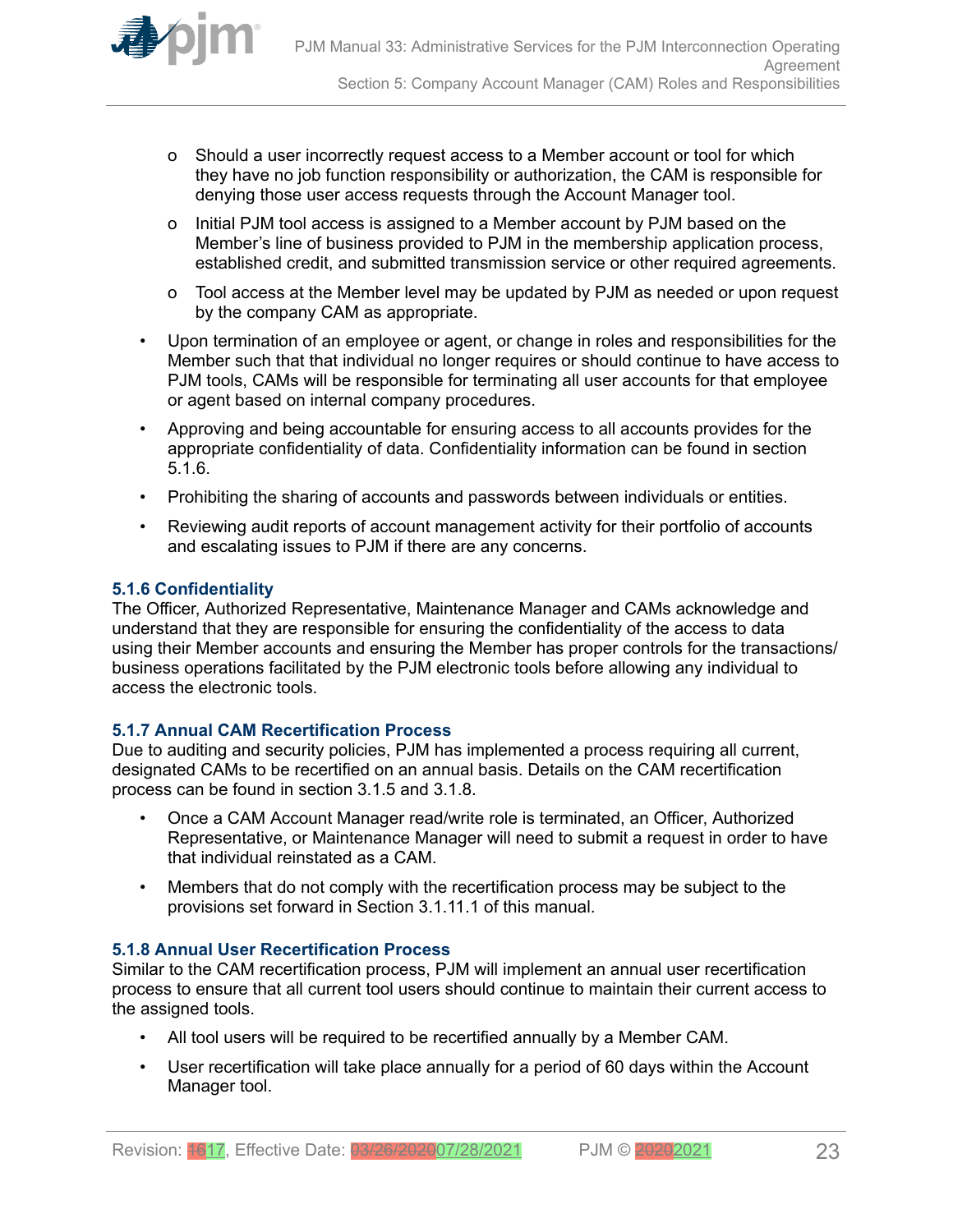<span id="page-22-0"></span>

- o Should a user incorrectly request access to a Member account or tool for which they have no job function responsibility or authorization, the CAM is responsible for denying those user access requests through the Account Manager tool.
- o Initial PJM tool access is assigned to a Member account by PJM based on the Member's line of business provided to PJM in the membership application process, established credit, and submitted transmission service or other required agreements.
- o Tool access at the Member level may be updated by PJM as needed or upon request by the company CAM as appropriate.
- Upon termination of an employee or agent, or change in roles and responsibilities for the Member such that that individual no longer requires or should continue to have access to PJM tools, CAMs will be responsible for terminating all user accounts for that employee or agent based on internal company procedures.
- Approving and being accountable for ensuring access to all accounts provides for the appropriate confidentiality of data. Confidentiality information can be found in section 5.1.6.
- Prohibiting the sharing of accounts and passwords between individuals or entities.
- Reviewing audit reports of account management activity for their portfolio of accounts and escalating issues to PJM if there are any concerns.

### **5.1.6 Confidentiality**

The Officer, Authorized Representative, Maintenance Manager and CAMs acknowledge and understand that they are responsible for ensuring the confidentiality of the access to data using their Member accounts and ensuring the Member has proper controls for the transactions/ business operations facilitated by the PJM electronic tools before allowing any individual to access the electronic tools.

### **5.1.7 Annual CAM Recertification Process**

Due to auditing and security policies, PJM has implemented a process requiring all current, designated CAMs to be recertified on an annual basis. Details on the CAM recertification process can be found in section 3.1.5 and 3.1.8.

- Once a CAM Account Manager read/write role is terminated, an Officer, Authorized Representative, or Maintenance Manager will need to submit a request in order to have that individual reinstated as a CAM.
- Members that do not comply with the recertification process may be subject to the provisions set forward in Section 3.1.11.1 of this manual.

#### **5.1.8 Annual User Recertification Process**

Similar to the CAM recertification process, PJM will implement an annual user recertification process to ensure that all current tool users should continue to maintain their current access to the assigned tools.

- All tool users will be required to be recertified annually by a Member CAM.
- User recertification will take place annually for a period of 60 days within the Account Manager tool.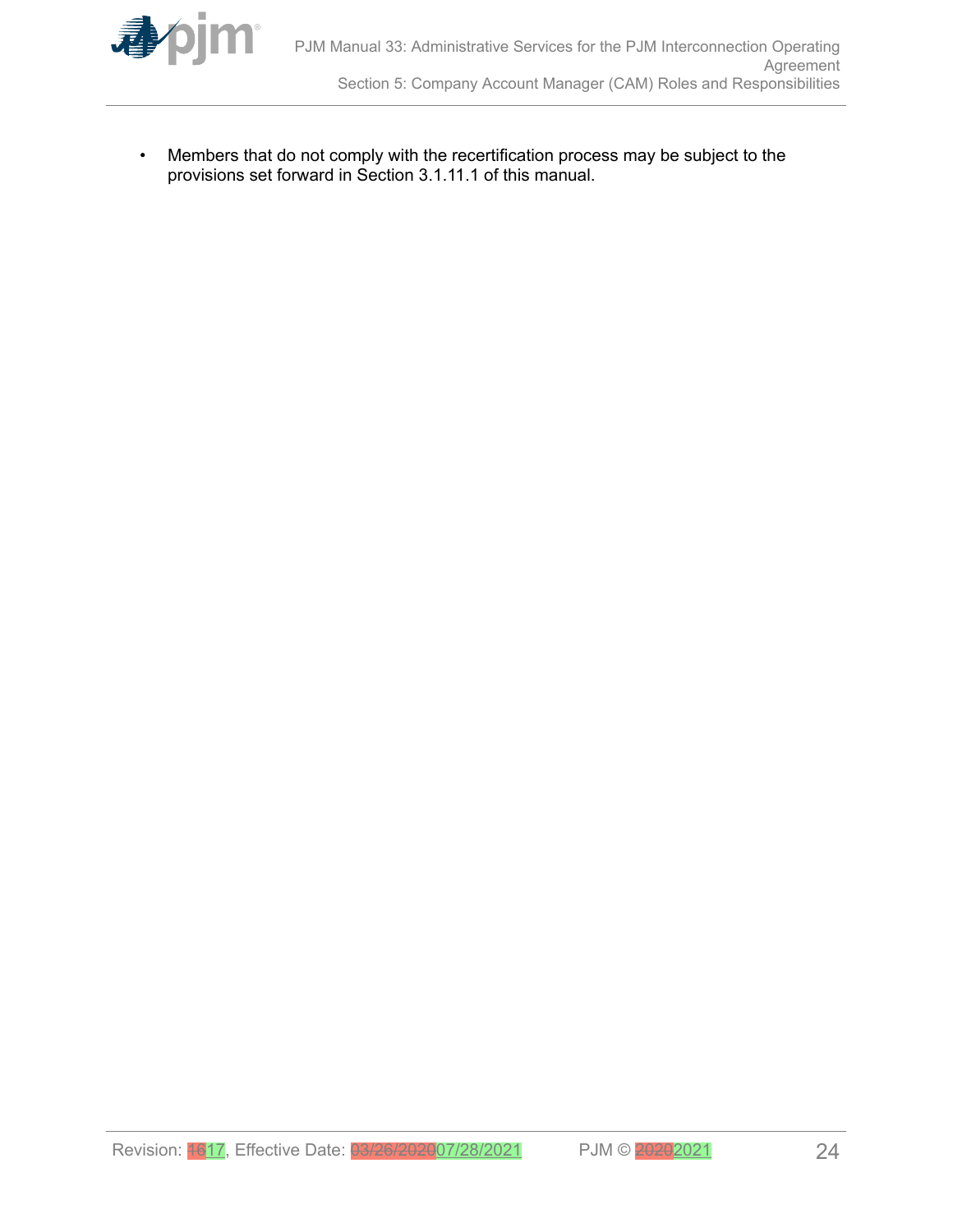

• Members that do not comply with the recertification process may be subject to the provisions set forward in Section 3.1.11.1 of this manual.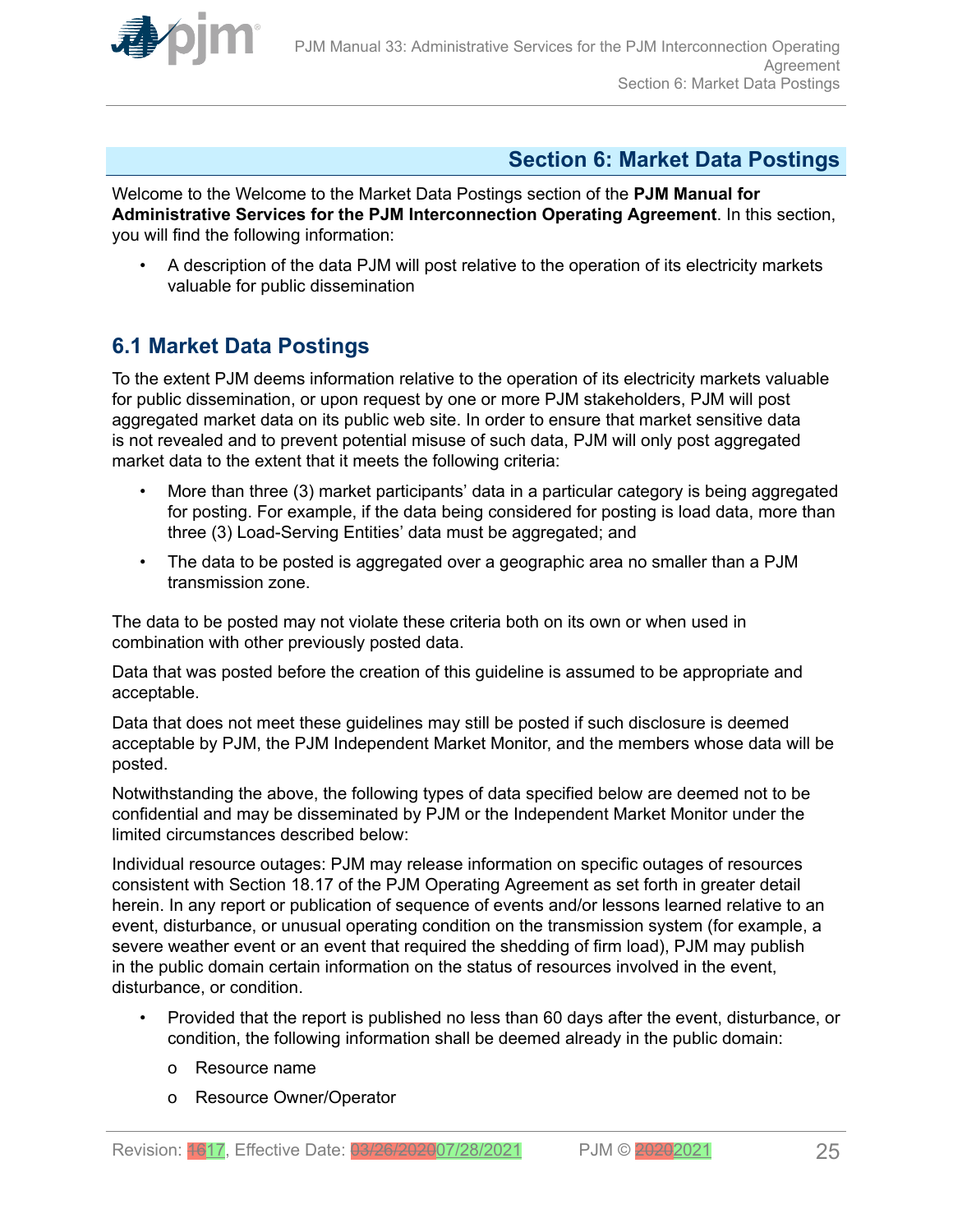<span id="page-24-0"></span>

# **Section 6: Market Data Postings**

Welcome to the Welcome to the Market Data Postings section of the **PJM Manual for Administrative Services for the PJM Interconnection Operating Agreement**. In this section, you will find the following information:

• A description of the data PJM will post relative to the operation of its electricity markets valuable for public dissemination

# **6.1 Market Data Postings**

To the extent PJM deems information relative to the operation of its electricity markets valuable for public dissemination, or upon request by one or more PJM stakeholders, PJM will post aggregated market data on its public web site. In order to ensure that market sensitive data is not revealed and to prevent potential misuse of such data, PJM will only post aggregated market data to the extent that it meets the following criteria:

- More than three (3) market participants' data in a particular category is being aggregated for posting. For example, if the data being considered for posting is load data, more than three (3) Load-Serving Entities' data must be aggregated; and
- The data to be posted is aggregated over a geographic area no smaller than a PJM transmission zone.

The data to be posted may not violate these criteria both on its own or when used in combination with other previously posted data.

Data that was posted before the creation of this guideline is assumed to be appropriate and acceptable.

Data that does not meet these guidelines may still be posted if such disclosure is deemed acceptable by PJM, the PJM Independent Market Monitor, and the members whose data will be posted.

Notwithstanding the above, the following types of data specified below are deemed not to be confidential and may be disseminated by PJM or the Independent Market Monitor under the limited circumstances described below:

Individual resource outages: PJM may release information on specific outages of resources consistent with Section 18.17 of the PJM Operating Agreement as set forth in greater detail herein. In any report or publication of sequence of events and/or lessons learned relative to an event, disturbance, or unusual operating condition on the transmission system (for example, a severe weather event or an event that required the shedding of firm load), PJM may publish in the public domain certain information on the status of resources involved in the event, disturbance, or condition.

- Provided that the report is published no less than 60 days after the event, disturbance, or condition, the following information shall be deemed already in the public domain:
	- o Resource name
	- o Resource Owner/Operator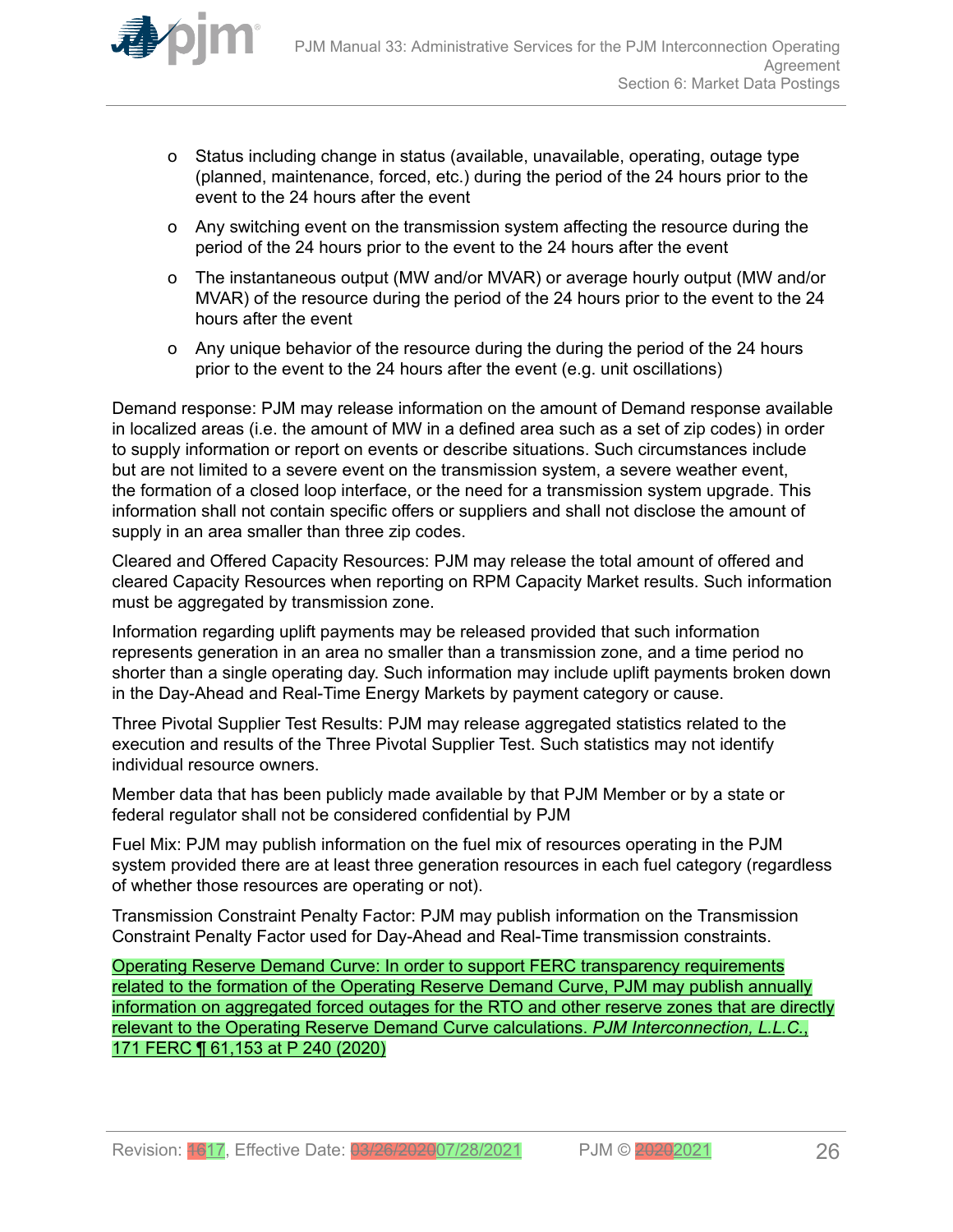

- o Status including change in status (available, unavailable, operating, outage type (planned, maintenance, forced, etc.) during the period of the 24 hours prior to the event to the 24 hours after the event
- o Any switching event on the transmission system affecting the resource during the period of the 24 hours prior to the event to the 24 hours after the event
- o The instantaneous output (MW and/or MVAR) or average hourly output (MW and/or MVAR) of the resource during the period of the 24 hours prior to the event to the 24 hours after the event
- o Any unique behavior of the resource during the during the period of the 24 hours prior to the event to the 24 hours after the event (e.g. unit oscillations)

Demand response: PJM may release information on the amount of Demand response available in localized areas (i.e. the amount of MW in a defined area such as a set of zip codes) in order to supply information or report on events or describe situations. Such circumstances include but are not limited to a severe event on the transmission system, a severe weather event, the formation of a closed loop interface, or the need for a transmission system upgrade. This information shall not contain specific offers or suppliers and shall not disclose the amount of supply in an area smaller than three zip codes.

Cleared and Offered Capacity Resources: PJM may release the total amount of offered and cleared Capacity Resources when reporting on RPM Capacity Market results. Such information must be aggregated by transmission zone.

Information regarding uplift payments may be released provided that such information represents generation in an area no smaller than a transmission zone, and a time period no shorter than a single operating day. Such information may include uplift payments broken down in the Day-Ahead and Real-Time Energy Markets by payment category or cause.

Three Pivotal Supplier Test Results: PJM may release aggregated statistics related to the execution and results of the Three Pivotal Supplier Test. Such statistics may not identify individual resource owners.

Member data that has been publicly made available by that PJM Member or by a state or federal regulator shall not be considered confidential by PJM

Fuel Mix: PJM may publish information on the fuel mix of resources operating in the PJM system provided there are at least three generation resources in each fuel category (regardless of whether those resources are operating or not).

Transmission Constraint Penalty Factor: PJM may publish information on the Transmission Constraint Penalty Factor used for Day-Ahead and Real-Time transmission constraints.

Operating Reserve Demand Curve: In order to support FERC transparency requirements related to the formation of the Operating Reserve Demand Curve, PJM may publish annually information on aggregated forced outages for the RTO and other reserve zones that are directly relevant to the Operating Reserve Demand Curve calculations. *PJM Interconnection, L.L.C.*, 171 FERC ¶ 61,153 at P 240 (2020)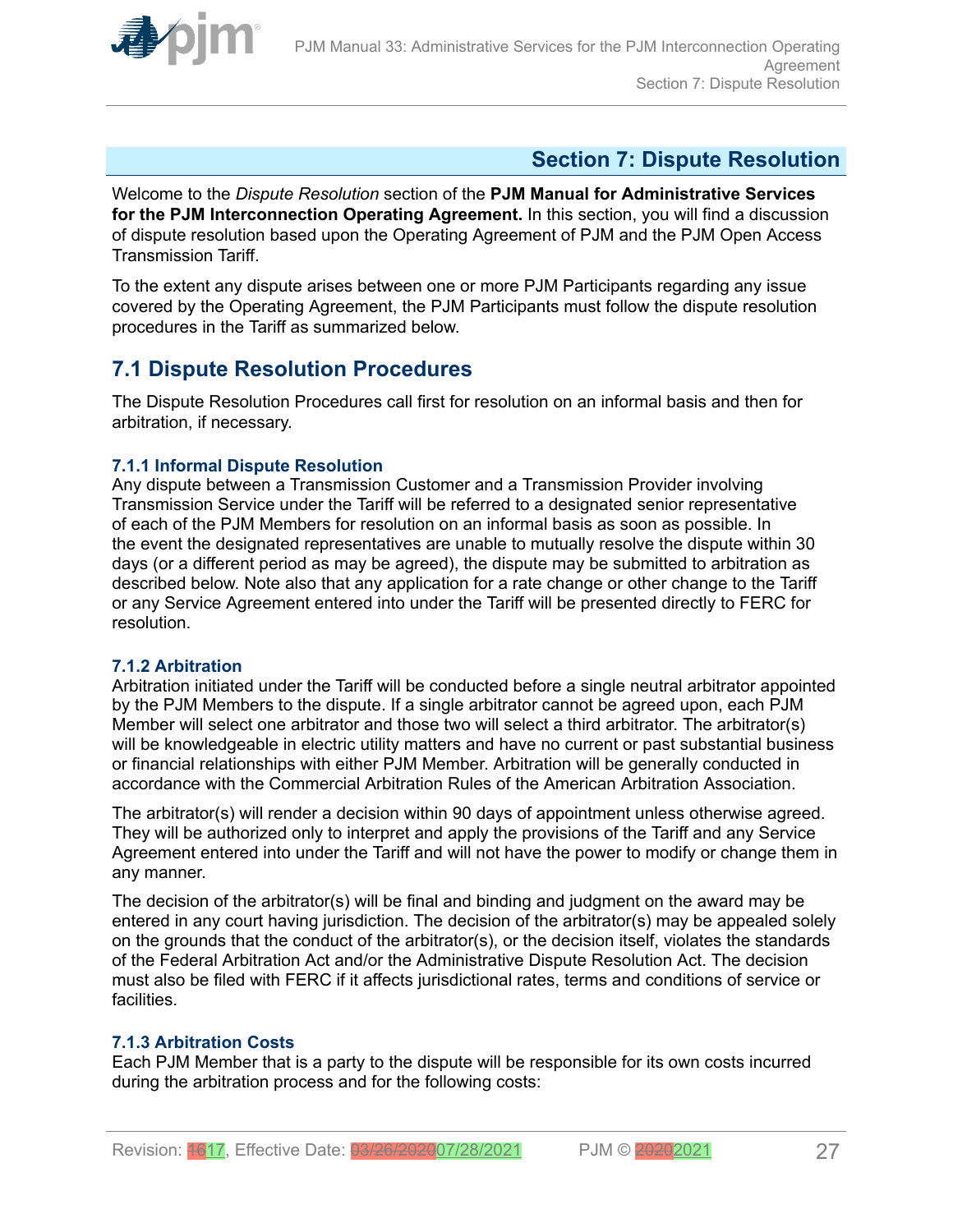<span id="page-26-0"></span>

# **Section 7: Dispute Resolution**

Welcome to the *Dispute Resolution* section of the **PJM Manual for Administrative Services for the PJM Interconnection Operating Agreement.** In this section, you will find a discussion of dispute resolution based upon the Operating Agreement of PJM and the PJM Open Access Transmission Tariff.

To the extent any dispute arises between one or more PJM Participants regarding any issue covered by the Operating Agreement, the PJM Participants must follow the dispute resolution procedures in the Tariff as summarized below.

# **7.1 Dispute Resolution Procedures**

The Dispute Resolution Procedures call first for resolution on an informal basis and then for arbitration, if necessary.

### **7.1.1 Informal Dispute Resolution**

Any dispute between a Transmission Customer and a Transmission Provider involving Transmission Service under the Tariff will be referred to a designated senior representative of each of the PJM Members for resolution on an informal basis as soon as possible. In the event the designated representatives are unable to mutually resolve the dispute within 30 days (or a different period as may be agreed), the dispute may be submitted to arbitration as described below. Note also that any application for a rate change or other change to the Tariff or any Service Agreement entered into under the Tariff will be presented directly to FERC for resolution.

### **7.1.2 Arbitration**

Arbitration initiated under the Tariff will be conducted before a single neutral arbitrator appointed by the PJM Members to the dispute. If a single arbitrator cannot be agreed upon, each PJM Member will select one arbitrator and those two will select a third arbitrator. The arbitrator(s) will be knowledgeable in electric utility matters and have no current or past substantial business or financial relationships with either PJM Member. Arbitration will be generally conducted in accordance with the Commercial Arbitration Rules of the American Arbitration Association.

The arbitrator(s) will render a decision within 90 days of appointment unless otherwise agreed. They will be authorized only to interpret and apply the provisions of the Tariff and any Service Agreement entered into under the Tariff and will not have the power to modify or change them in any manner.

The decision of the arbitrator(s) will be final and binding and judgment on the award may be entered in any court having jurisdiction. The decision of the arbitrator(s) may be appealed solely on the grounds that the conduct of the arbitrator(s), or the decision itself, violates the standards of the Federal Arbitration Act and/or the Administrative Dispute Resolution Act. The decision must also be filed with FERC if it affects jurisdictional rates, terms and conditions of service or facilities.

### **7.1.3 Arbitration Costs**

Each PJM Member that is a party to the dispute will be responsible for its own costs incurred during the arbitration process and for the following costs: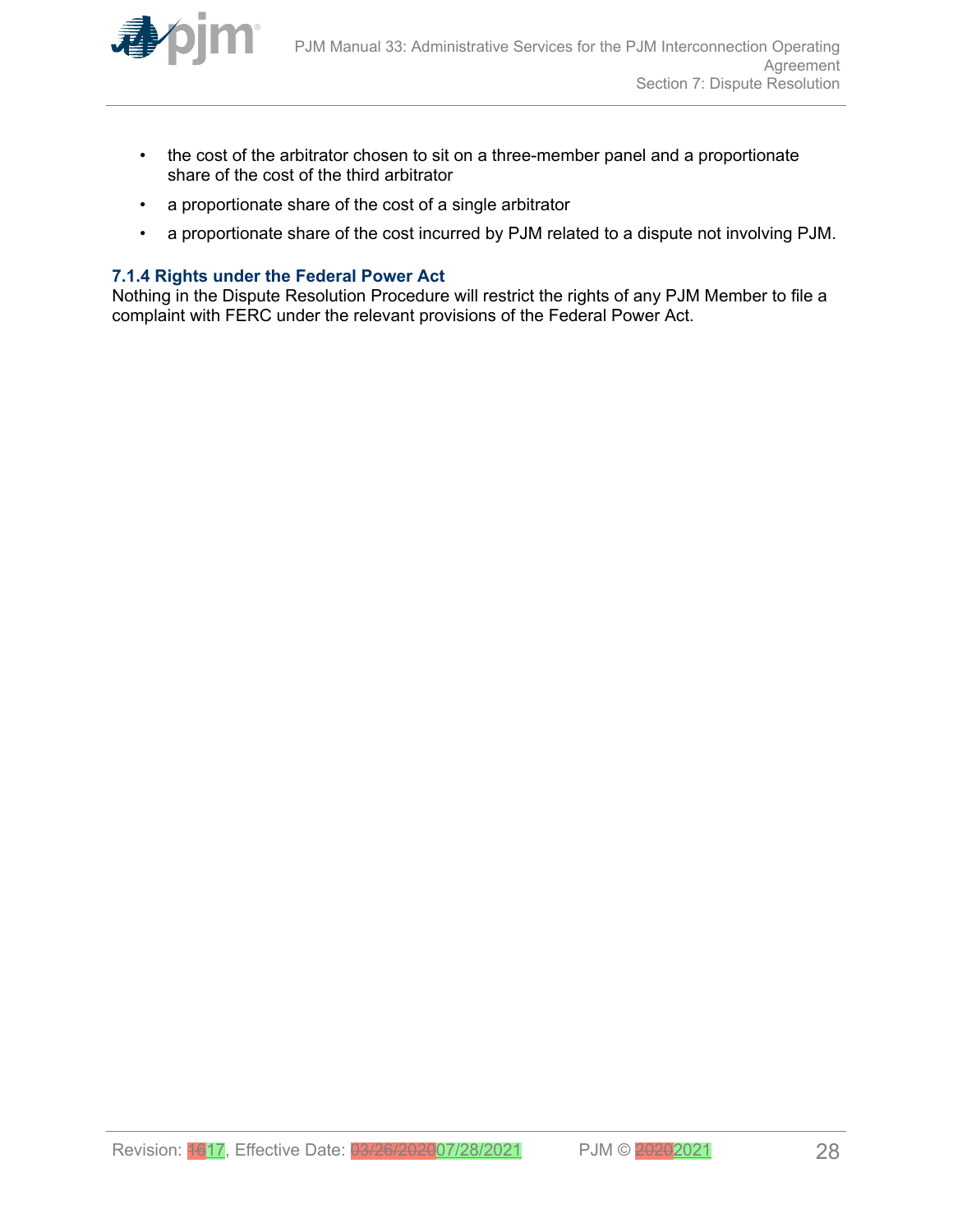<span id="page-27-0"></span>

- the cost of the arbitrator chosen to sit on a three-member panel and a proportionate share of the cost of the third arbitrator
- a proportionate share of the cost of a single arbitrator
- a proportionate share of the cost incurred by PJM related to a dispute not involving PJM.

### **7.1.4 Rights under the Federal Power Act**

Nothing in the Dispute Resolution Procedure will restrict the rights of any PJM Member to file a complaint with FERC under the relevant provisions of the Federal Power Act.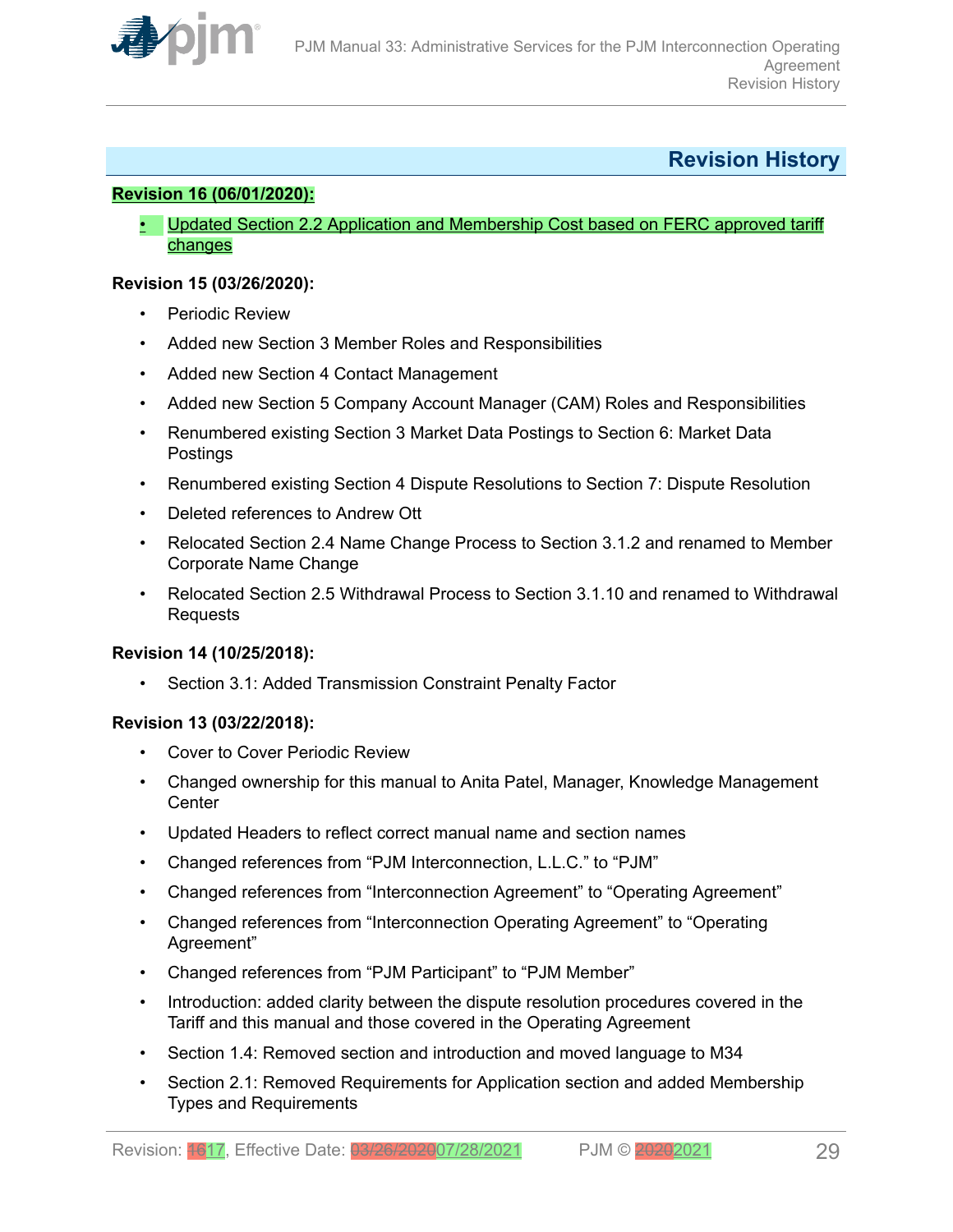<span id="page-28-0"></span>

# **Revision History**

### **Revision 16 (06/01/2020):**

• Updated Section 2.2 Application and Membership Cost based on FERC approved tariff changes

### **Revision 15 (03/26/2020):**

- Periodic Review
- Added new Section 3 Member Roles and Responsibilities
- Added new Section 4 Contact Management
- Added new Section 5 Company Account Manager (CAM) Roles and Responsibilities
- Renumbered existing Section 3 Market Data Postings to Section 6: Market Data Postings
- Renumbered existing Section 4 Dispute Resolutions to Section 7: Dispute Resolution
- Deleted references to Andrew Ott
- Relocated Section 2.4 Name Change Process to Section 3.1.2 and renamed to Member Corporate Name Change
- Relocated Section 2.5 Withdrawal Process to Section 3.1.10 and renamed to Withdrawal Requests

### **Revision 14 (10/25/2018):**

• Section 3.1: Added Transmission Constraint Penalty Factor

### **Revision 13 (03/22/2018):**

- Cover to Cover Periodic Review
- Changed ownership for this manual to Anita Patel, Manager, Knowledge Management **Center**
- Updated Headers to reflect correct manual name and section names
- Changed references from "PJM Interconnection, L.L.C." to "PJM"
- Changed references from "Interconnection Agreement" to "Operating Agreement"
- Changed references from "Interconnection Operating Agreement" to "Operating Agreement"
- Changed references from "PJM Participant" to "PJM Member"
- Introduction: added clarity between the dispute resolution procedures covered in the Tariff and this manual and those covered in the Operating Agreement
- Section 1.4: Removed section and introduction and moved language to M34
- Section 2.1: Removed Requirements for Application section and added Membership Types and Requirements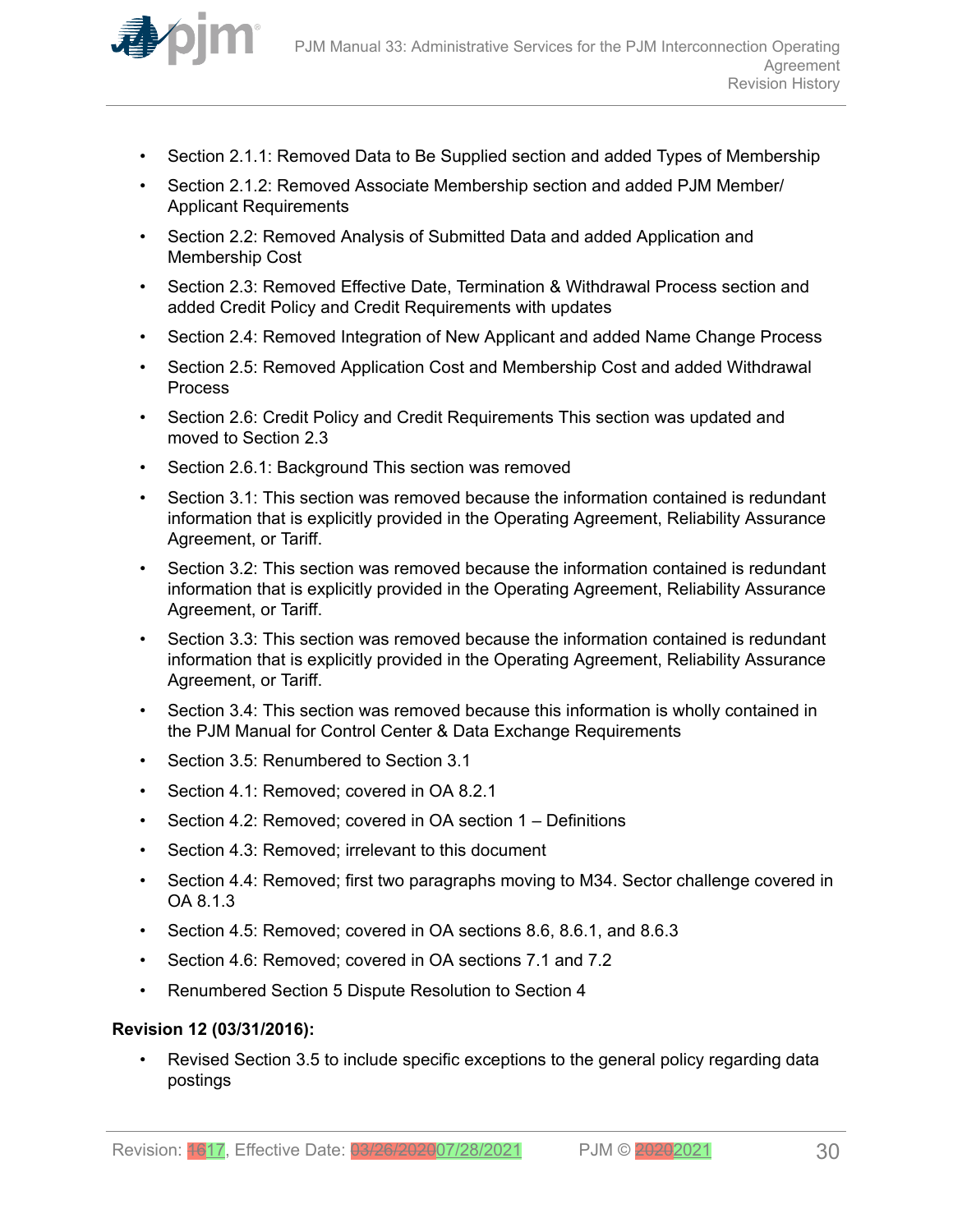

- Section 2.1.1: Removed Data to Be Supplied section and added Types of Membership
- Section 2.1.2: Removed Associate Membership section and added PJM Member/ Applicant Requirements
- Section 2.2: Removed Analysis of Submitted Data and added Application and Membership Cost
- Section 2.3: Removed Effective Date, Termination & Withdrawal Process section and added Credit Policy and Credit Requirements with updates
- Section 2.4: Removed Integration of New Applicant and added Name Change Process
- Section 2.5: Removed Application Cost and Membership Cost and added Withdrawal Process
- Section 2.6: Credit Policy and Credit Requirements This section was updated and moved to Section 2.3
- Section 2.6.1: Background This section was removed
- Section 3.1: This section was removed because the information contained is redundant information that is explicitly provided in the Operating Agreement, Reliability Assurance Agreement, or Tariff.
- Section 3.2: This section was removed because the information contained is redundant information that is explicitly provided in the Operating Agreement, Reliability Assurance Agreement, or Tariff.
- Section 3.3: This section was removed because the information contained is redundant information that is explicitly provided in the Operating Agreement, Reliability Assurance Agreement, or Tariff.
- Section 3.4: This section was removed because this information is wholly contained in the PJM Manual for Control Center & Data Exchange Requirements
- Section 3.5: Renumbered to Section 3.1
- Section 4.1: Removed; covered in OA 8.2.1
- Section 4.2: Removed; covered in OA section 1 Definitions
- Section 4.3: Removed; irrelevant to this document
- Section 4.4: Removed; first two paragraphs moving to M34. Sector challenge covered in OA 8.1.3
- Section 4.5: Removed; covered in OA sections 8.6, 8.6.1, and 8.6.3
- Section 4.6: Removed; covered in OA sections 7.1 and 7.2
- Renumbered Section 5 Dispute Resolution to Section 4

#### **Revision 12 (03/31/2016):**

• Revised Section 3.5 to include specific exceptions to the general policy regarding data postings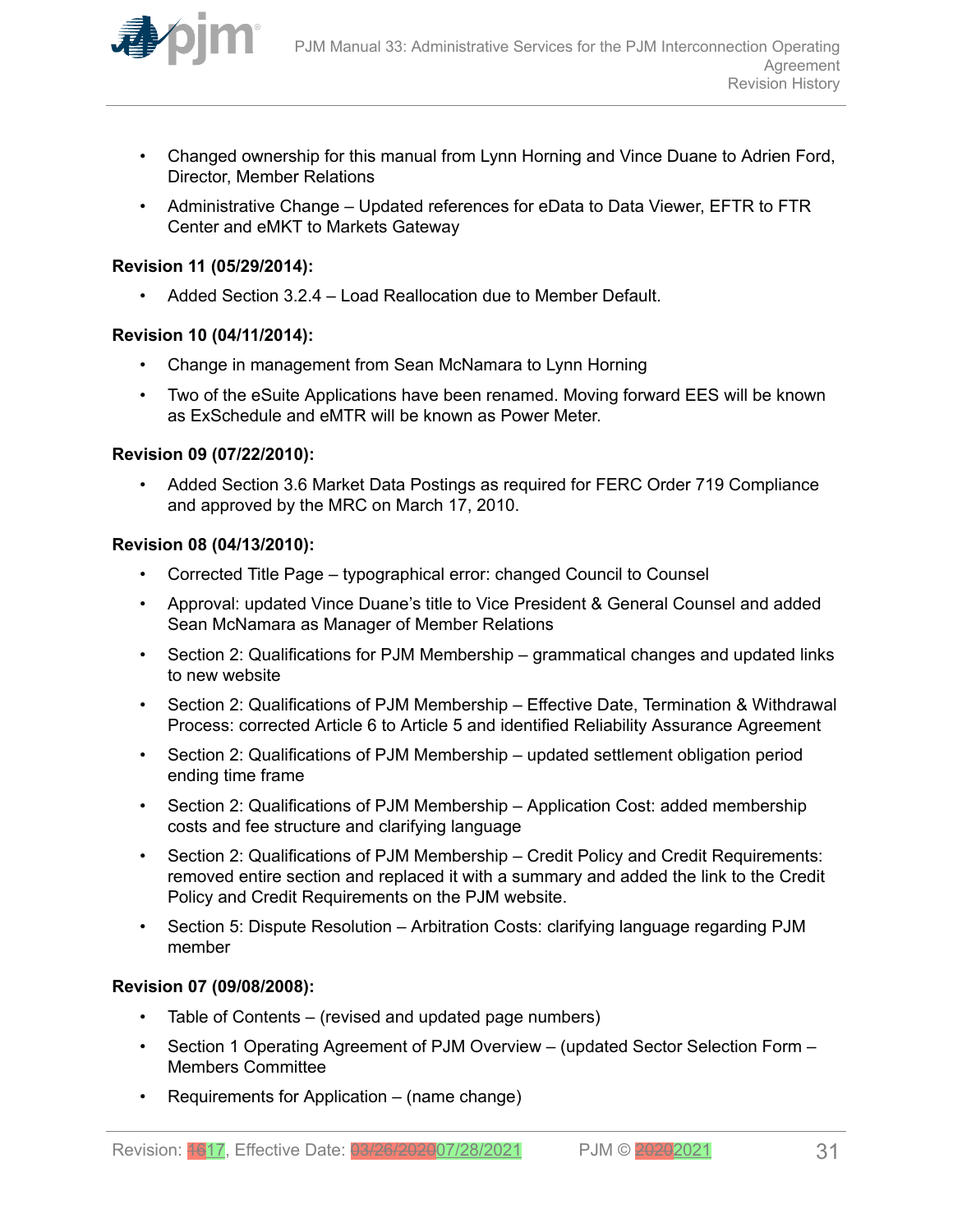

- Changed ownership for this manual from Lynn Horning and Vince Duane to Adrien Ford, Director, Member Relations
- Administrative Change Updated references for eData to Data Viewer, EFTR to FTR Center and eMKT to Markets Gateway

### **Revision 11 (05/29/2014):**

• Added Section 3.2.4 – Load Reallocation due to Member Default.

### **Revision 10 (04/11/2014):**

- Change in management from Sean McNamara to Lynn Horning
- Two of the eSuite Applications have been renamed. Moving forward EES will be known as ExSchedule and eMTR will be known as Power Meter.

### **Revision 09 (07/22/2010):**

• Added Section 3.6 Market Data Postings as required for FERC Order 719 Compliance and approved by the MRC on March 17, 2010.

### **Revision 08 (04/13/2010):**

- Corrected Title Page typographical error: changed Council to Counsel
- Approval: updated Vince Duane's title to Vice President & General Counsel and added Sean McNamara as Manager of Member Relations
- Section 2: Qualifications for PJM Membership grammatical changes and updated links to new website
- Section 2: Qualifications of PJM Membership Effective Date, Termination & Withdrawal Process: corrected Article 6 to Article 5 and identified Reliability Assurance Agreement
- Section 2: Qualifications of PJM Membership updated settlement obligation period ending time frame
- Section 2: Qualifications of PJM Membership Application Cost: added membership costs and fee structure and clarifying language
- Section 2: Qualifications of PJM Membership Credit Policy and Credit Requirements: removed entire section and replaced it with a summary and added the link to the Credit Policy and Credit Requirements on the PJM website.
- Section 5: Dispute Resolution Arbitration Costs: clarifying language regarding PJM member

### **Revision 07 (09/08/2008):**

- Table of Contents (revised and updated page numbers)
- Section 1 Operating Agreement of PJM Overview (updated Sector Selection Form Members Committee
- Requirements for Application (name change)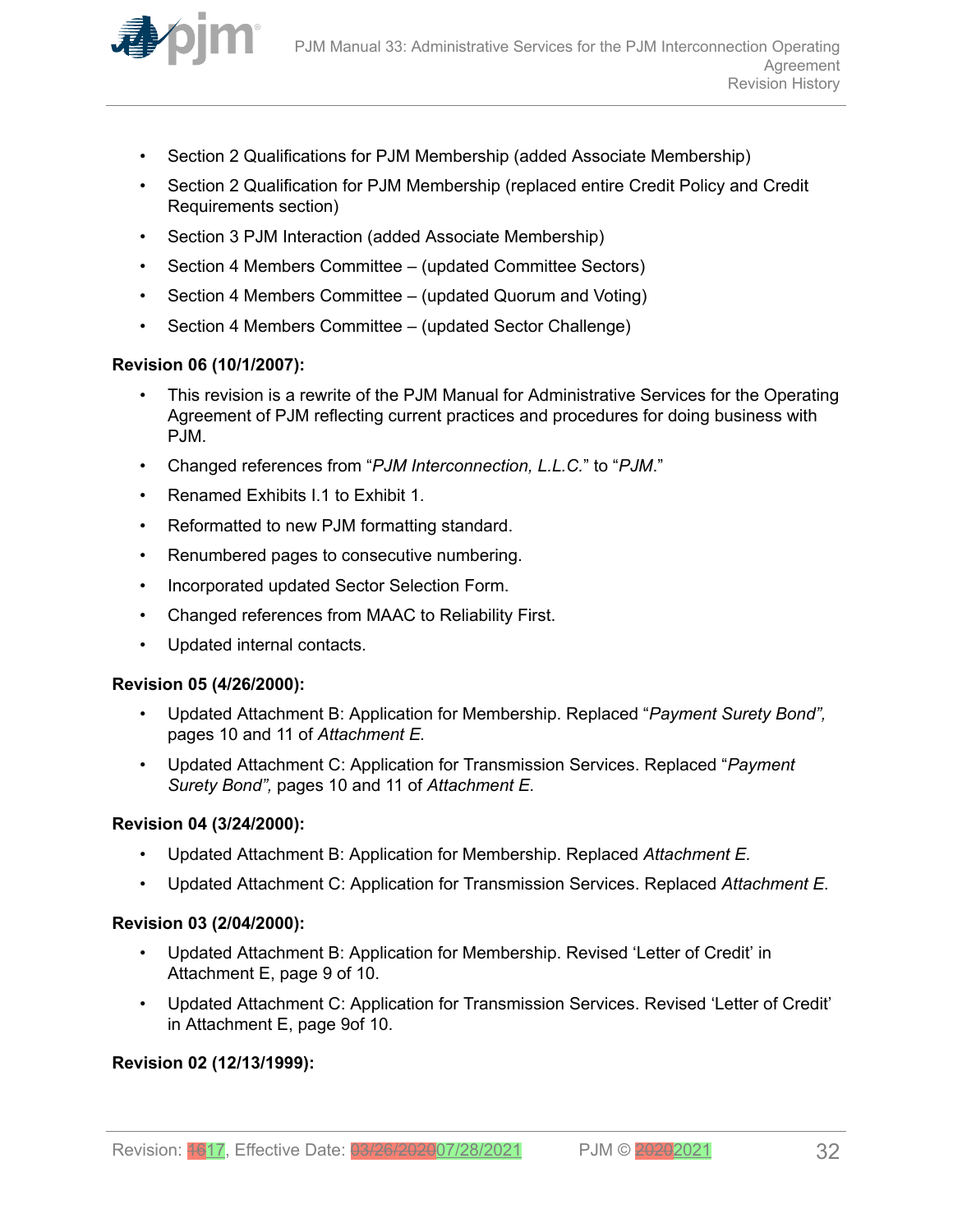

- Section 2 Qualifications for PJM Membership (added Associate Membership)
- Section 2 Qualification for PJM Membership (replaced entire Credit Policy and Credit Requirements section)
- Section 3 PJM Interaction (added Associate Membership)
- Section 4 Members Committee (updated Committee Sectors)
- Section 4 Members Committee (updated Quorum and Voting)
- Section 4 Members Committee (updated Sector Challenge)

### **Revision 06 (10/1/2007):**

- This revision is a rewrite of the PJM Manual for Administrative Services for the Operating Agreement of PJM reflecting current practices and procedures for doing business with PJM.
- Changed references from "*PJM Interconnection, L.L.C.*" to "*PJM*."
- Renamed Exhibits I.1 to Exhibit 1.
- Reformatted to new PJM formatting standard.
- Renumbered pages to consecutive numbering.
- Incorporated updated Sector Selection Form.
- Changed references from MAAC to Reliability First.
- Updated internal contacts.

### **Revision 05 (4/26/2000):**

- Updated Attachment B: Application for Membership. Replaced "*Payment Surety Bond",* pages 10 and 11 of *Attachment E.*
- Updated Attachment C: Application for Transmission Services. Replaced "*Payment Surety Bond",* pages 10 and 11 of *Attachment E.*

#### **Revision 04 (3/24/2000):**

- Updated Attachment B: Application for Membership. Replaced *Attachment E.*
- Updated Attachment C: Application for Transmission Services. Replaced *Attachment E.*

### **Revision 03 (2/04/2000):**

- Updated Attachment B: Application for Membership. Revised 'Letter of Credit' in Attachment E, page 9 of 10.
- Updated Attachment C: Application for Transmission Services. Revised 'Letter of Credit' in Attachment E, page 9of 10.

### **Revision 02 (12/13/1999):**